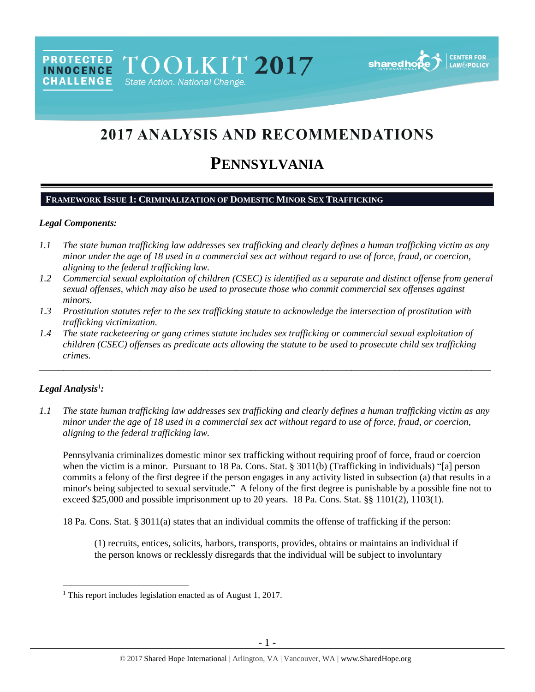TOOLKIT 2017 State Action. National Change.



# 2017 ANALYSIS AND RECOMMENDATIONS

# **PENNSYLVANIA**

#### **FRAMEWORK ISSUE 1: CRIMINALIZATION OF DOMESTIC MINOR SEX TRAFFICKING**

#### *Legal Components:*

**PROTECTED** 

**INNOCENCE CHALLENGE** 

- *1.1 The state human trafficking law addresses sex trafficking and clearly defines a human trafficking victim as any minor under the age of 18 used in a commercial sex act without regard to use of force, fraud, or coercion, aligning to the federal trafficking law.*
- *1.2 Commercial sexual exploitation of children (CSEC) is identified as a separate and distinct offense from general sexual offenses, which may also be used to prosecute those who commit commercial sex offenses against minors.*
- *1.3 Prostitution statutes refer to the sex trafficking statute to acknowledge the intersection of prostitution with trafficking victimization.*
- *1.4 The state racketeering or gang crimes statute includes sex trafficking or commercial sexual exploitation of children (CSEC) offenses as predicate acts allowing the statute to be used to prosecute child sex trafficking crimes.*

\_\_\_\_\_\_\_\_\_\_\_\_\_\_\_\_\_\_\_\_\_\_\_\_\_\_\_\_\_\_\_\_\_\_\_\_\_\_\_\_\_\_\_\_\_\_\_\_\_\_\_\_\_\_\_\_\_\_\_\_\_\_\_\_\_\_\_\_\_\_\_\_\_\_\_\_\_\_\_\_\_\_\_\_\_\_\_\_\_\_\_\_\_\_

## *Legal Analysis*<sup>1</sup> *:*

 $\overline{a}$ 

*1.1 The state human trafficking law addresses sex trafficking and clearly defines a human trafficking victim as any minor under the age of 18 used in a commercial sex act without regard to use of force, fraud, or coercion, aligning to the federal trafficking law.*

Pennsylvania criminalizes domestic minor sex trafficking without requiring proof of force, fraud or coercion when the victim is a minor. Pursuant to 18 Pa. Cons. Stat. § 3011(b) (Trafficking in individuals) "[a] person commits a felony of the first degree if the person engages in any activity listed in subsection (a) that results in a minor's being subjected to sexual servitude." A felony of the first degree is punishable by a possible fine not to exceed \$25,000 and possible imprisonment up to 20 years. 18 Pa. Cons. Stat. §§ 1101(2), 1103(1).

18 Pa. Cons. Stat. § 3011(a) states that an individual commits the offense of trafficking if the person:

(1) recruits, entices, solicits, harbors, transports, provides, obtains or maintains an individual if the person knows or recklessly disregards that the individual will be subject to involuntary

<sup>&</sup>lt;sup>1</sup> This report includes legislation enacted as of August 1, 2017.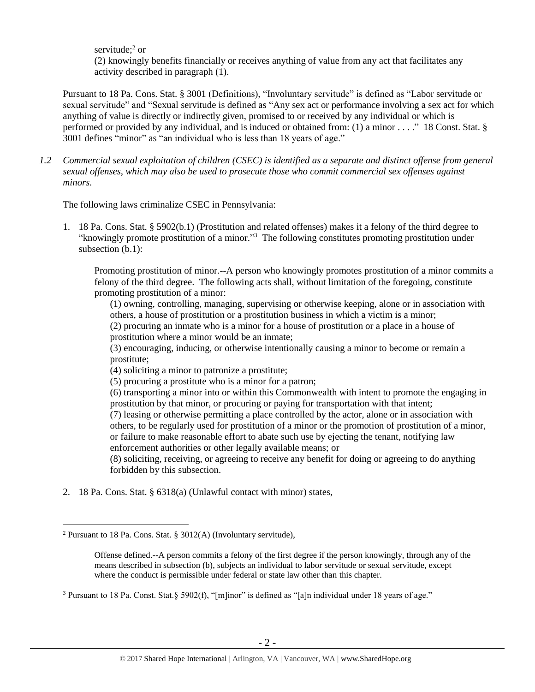servitude;<sup>2</sup> or (2) knowingly benefits financially or receives anything of value from any act that facilitates any activity described in paragraph (1).

Pursuant to 18 Pa. Cons. Stat. § 3001 (Definitions), "Involuntary servitude" is defined as "Labor servitude or sexual servitude" and "Sexual servitude is defined as "Any sex act or performance involving a sex act for which anything of value is directly or indirectly given, promised to or received by any individual or which is performed or provided by any individual, and is induced or obtained from: (1) a minor . . . ." 18 Const. Stat. § 3001 defines "minor" as "an individual who is less than 18 years of age."

*1.2 Commercial sexual exploitation of children (CSEC) is identified as a separate and distinct offense from general sexual offenses, which may also be used to prosecute those who commit commercial sex offenses against minors.*

The following laws criminalize CSEC in Pennsylvania:

1. 18 Pa. Cons. Stat. § 5902(b.1) (Prostitution and related offenses) makes it a felony of the third degree to "knowingly promote prostitution of a minor."<sup>3</sup> The following constitutes promoting prostitution under subsection (b.1):

Promoting prostitution of minor.--A person who knowingly promotes prostitution of a minor commits a felony of the third degree. The following acts shall, without limitation of the foregoing, constitute promoting prostitution of a minor:

(1) owning, controlling, managing, supervising or otherwise keeping, alone or in association with others, a house of prostitution or a prostitution business in which a victim is a minor;

(2) procuring an inmate who is a minor for a house of prostitution or a place in a house of prostitution where a minor would be an inmate;

(3) encouraging, inducing, or otherwise intentionally causing a minor to become or remain a prostitute;

(4) soliciting a minor to patronize a prostitute;

(5) procuring a prostitute who is a minor for a patron;

(6) transporting a minor into or within this Commonwealth with intent to promote the engaging in prostitution by that minor, or procuring or paying for transportation with that intent;

(7) leasing or otherwise permitting a place controlled by the actor, alone or in association with others, to be regularly used for prostitution of a minor or the promotion of prostitution of a minor, or failure to make reasonable effort to abate such use by ejecting the tenant, notifying law enforcement authorities or other legally available means; or

(8) soliciting, receiving, or agreeing to receive any benefit for doing or agreeing to do anything forbidden by this subsection.

2. 18 Pa. Cons. Stat. § 6318(a) (Unlawful contact with minor) states,

 $\overline{a}$ 

<sup>&</sup>lt;sup>2</sup> Pursuant to 18 Pa. Cons. Stat. § 3012(A) (Involuntary servitude),

Offense defined.--A person commits a felony of the first degree if the person knowingly, through any of the means described in subsection (b), subjects an individual to labor servitude or sexual servitude, except where the conduct is permissible under federal or state law other than this chapter.

<sup>&</sup>lt;sup>3</sup> Pursuant to 18 Pa. Const. Stat.§ 5902(f), "[m]inor" is defined as "[a]n individual under 18 years of age."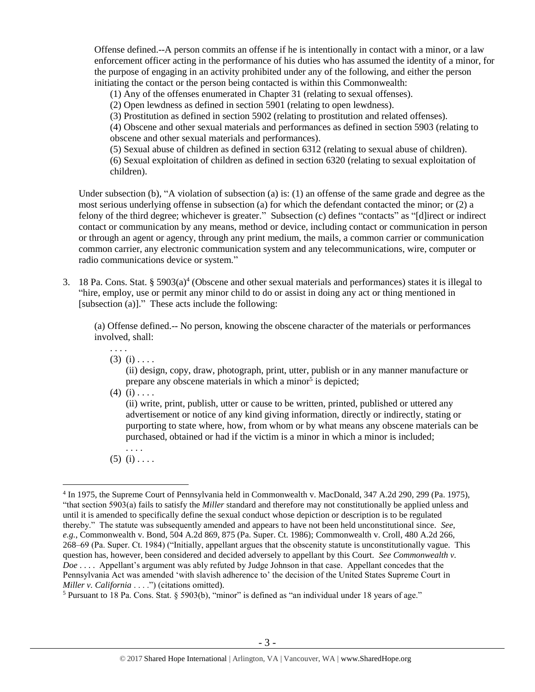Offense defined.--A person commits an offense if he is intentionally in contact with a minor, or a law enforcement officer acting in the performance of his duties who has assumed the identity of a minor, for the purpose of engaging in an activity prohibited under any of the following, and either the person initiating the contact or the person being contacted is within this Commonwealth:

(1) Any of the offenses enumerated in Chapter 31 (relating to sexual offenses).

(2) Open lewdness as defined in section 5901 (relating to open lewdness).

(3) Prostitution as defined in section 5902 (relating to prostitution and related offenses).

(4) Obscene and other sexual materials and performances as defined in section 5903 (relating to obscene and other sexual materials and performances).

(5) Sexual abuse of children as defined in section 6312 (relating to sexual abuse of children). (6) Sexual exploitation of children as defined in section 6320 (relating to sexual exploitation of children).

Under subsection (b), "A violation of subsection (a) is: (1) an offense of the same grade and degree as the most serious underlying offense in subsection (a) for which the defendant contacted the minor; or (2) a felony of the third degree; whichever is greater." Subsection (c) defines "contacts" as "[d]irect or indirect contact or communication by any means, method or device, including contact or communication in person or through an agent or agency, through any print medium, the mails, a common carrier or communication common carrier, any electronic communication system and any telecommunications, wire, computer or radio communications device or system."

3. 18 Pa. Cons. Stat. § 5903(a)<sup>4</sup> (Obscene and other sexual materials and performances) states it is illegal to "hire, employ, use or permit any minor child to do or assist in doing any act or thing mentioned in [subsection (a)]." These acts include the following:

(a) Offense defined.-- No person, knowing the obscene character of the materials or performances involved, shall:

. . . .  $(3)$   $(i)$  . . . .

> (ii) design, copy, draw, photograph, print, utter, publish or in any manner manufacture or prepare any obscene materials in which a minor<sup>5</sup> is depicted;

 $(4)$   $(i)$  . . . .

(ii) write, print, publish, utter or cause to be written, printed, published or uttered any advertisement or notice of any kind giving information, directly or indirectly, stating or purporting to state where, how, from whom or by what means any obscene materials can be purchased, obtained or had if the victim is a minor in which a minor is included;

. . . .  $(5)$   $(i)$  . . . .

 $\overline{a}$ 

<sup>&</sup>lt;sup>4</sup> In 1975, the Supreme Court of Pennsylvania held in Commonwealth v. MacDonald, 347 A.2d 290, 299 (Pa. 1975), "that section 5903(a) fails to satisfy the *Miller* standard and therefore may not constitutionally be applied unless and until it is amended to specifically define the sexual conduct whose depiction or description is to be regulated thereby." The statute was subsequently amended and appears to have not been held unconstitutional since. *See, e.g.*, Commonwealth v. Bond, 504 A.2d 869, 875 (Pa. Super. Ct. 1986); Commonwealth v. Croll, 480 A.2d 266, 268–69 (Pa. Super. Ct. 1984) ("Initially, appellant argues that the obscenity statute is unconstitutionally vague. This question has, however, been considered and decided adversely to appellant by this Court. *See Commonwealth v. Doe* . . . . Appellant's argument was ably refuted by Judge Johnson in that case. Appellant concedes that the Pennsylvania Act was amended 'with slavish adherence to' the decision of the United States Supreme Court in *Miller v. California* . . . .") (citations omitted).

<sup>5</sup> Pursuant to 18 Pa. Cons. Stat. § 5903(b), "minor" is defined as "an individual under 18 years of age."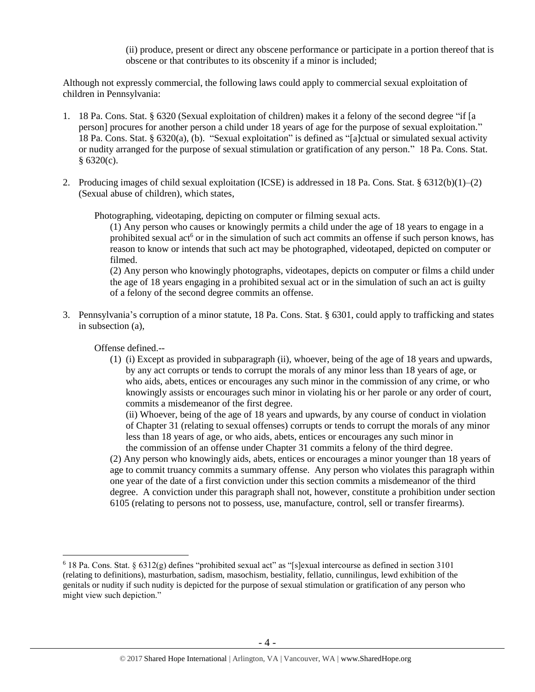(ii) produce, present or direct any obscene performance or participate in a portion thereof that is obscene or that contributes to its obscenity if a minor is included;

Although not expressly commercial, the following laws could apply to commercial sexual exploitation of children in Pennsylvania:

- 1. 18 Pa. Cons. Stat. § 6320 (Sexual exploitation of children) makes it a felony of the second degree "if [a person] procures for another person a child under 18 years of age for the purpose of sexual exploitation." 18 Pa. Cons. Stat. § 6320(a), (b). "Sexual exploitation" is defined as "[a]ctual or simulated sexual activity or nudity arranged for the purpose of sexual stimulation or gratification of any person." 18 Pa. Cons. Stat.  $§ 6320(c).$
- 2. Producing images of child sexual exploitation (ICSE) is addressed in 18 Pa. Cons. Stat. § 6312(b)(1)–(2) (Sexual abuse of children), which states,

Photographing, videotaping, depicting on computer or filming sexual acts.

(1) Any person who causes or knowingly permits a child under the age of 18 years to engage in a prohibited sexual act<sup>6</sup> or in the simulation of such act commits an offense if such person knows, has reason to know or intends that such act may be photographed, videotaped, depicted on computer or filmed.

(2) Any person who knowingly photographs, videotapes, depicts on computer or films a child under the age of 18 years engaging in a prohibited sexual act or in the simulation of such an act is guilty of a felony of the second degree commits an offense.

3. Pennsylvania's corruption of a minor statute, 18 Pa. Cons. Stat. § 6301, could apply to trafficking and states in subsection (a),

Offense defined.--

 $\overline{a}$ 

(1) (i) Except as provided in subparagraph (ii), whoever, being of the age of 18 years and upwards, by any act corrupts or tends to corrupt the morals of any minor less than 18 years of age, or who aids, abets, entices or encourages any such minor in the commission of any crime, or who knowingly assists or encourages such minor in violating his or her parole or any order of court, commits a misdemeanor of the first degree.

(ii) Whoever, being of the age of 18 years and upwards, by any course of conduct in violation of Chapter 31 (relating to sexual offenses) corrupts or tends to corrupt the morals of any minor less than 18 years of age, or who aids, abets, entices or encourages any such minor in the commission of an offense under Chapter 31 commits a felony of the third degree.

(2) Any person who knowingly aids, abets, entices or encourages a minor younger than 18 years of age to commit truancy commits a summary offense. Any person who violates this paragraph within one year of the date of a first conviction under this section commits a misdemeanor of the third degree. A conviction under this paragraph shall not, however, constitute a prohibition under section 6105 (relating to persons not to possess, use, manufacture, control, sell or transfer firearms).

 $6$  18 Pa. Cons. Stat.  $\S 6312(g)$  defines "prohibited sexual act" as "[s]exual intercourse as defined in section 3101 (relating to definitions), masturbation, sadism, masochism, bestiality, fellatio, cunnilingus, lewd exhibition of the genitals or nudity if such nudity is depicted for the purpose of sexual stimulation or gratification of any person who might view such depiction."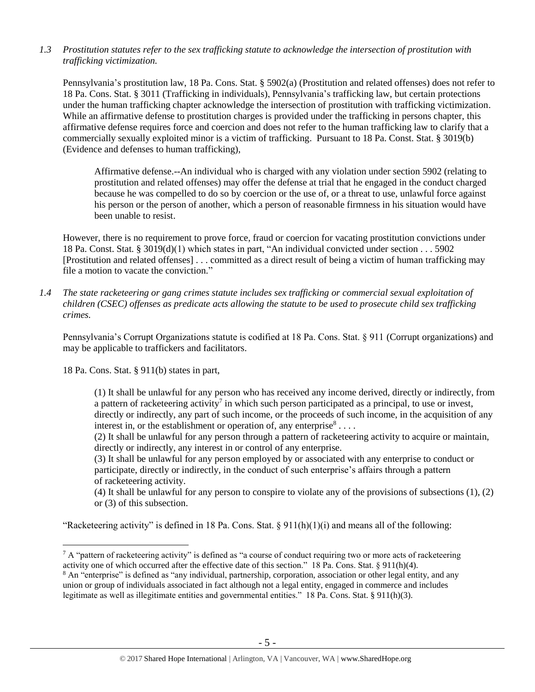*1.3 Prostitution statutes refer to the sex trafficking statute to acknowledge the intersection of prostitution with trafficking victimization.* 

Pennsylvania's prostitution law, 18 Pa. Cons. Stat. § 5902(a) (Prostitution and related offenses) does not refer to 18 Pa. Cons. Stat. § 3011 (Trafficking in individuals), Pennsylvania's trafficking law, but certain protections under the human trafficking chapter acknowledge the intersection of prostitution with trafficking victimization. While an affirmative defense to prostitution charges is provided under the trafficking in persons chapter, this affirmative defense requires force and coercion and does not refer to the human trafficking law to clarify that a commercially sexually exploited minor is a victim of trafficking. Pursuant to 18 Pa. Const. Stat. § 3019(b) (Evidence and defenses to human trafficking),

Affirmative defense.--An individual who is charged with any violation under section 5902 (relating to prostitution and related offenses) may offer the defense at trial that he engaged in the conduct charged because he was compelled to do so by coercion or the use of, or a threat to use, unlawful force against his person or the person of another, which a person of reasonable firmness in his situation would have been unable to resist.

However, there is no requirement to prove force, fraud or coercion for vacating prostitution convictions under 18 Pa. Const. Stat. § 3019(d)(1) which states in part, "An individual convicted under section . . . 5902 [Prostitution and related offenses] . . . committed as a direct result of being a victim of human trafficking may file a motion to vacate the conviction."

*1.4 The state racketeering or gang crimes statute includes sex trafficking or commercial sexual exploitation of children (CSEC) offenses as predicate acts allowing the statute to be used to prosecute child sex trafficking crimes.* 

Pennsylvania's Corrupt Organizations statute is codified at 18 Pa. Cons. Stat. § 911 (Corrupt organizations) and may be applicable to traffickers and facilitators.

18 Pa. Cons. Stat. § 911(b) states in part,

 $\overline{a}$ 

(1) It shall be unlawful for any person who has received any income derived, directly or indirectly, from a pattern of racketeering activity<sup>7</sup> in which such person participated as a principal, to use or invest, directly or indirectly, any part of such income, or the proceeds of such income, in the acquisition of any interest in, or the establishment or operation of, any enterprise  $s$ ...

(2) It shall be unlawful for any person through a pattern of racketeering activity to acquire or maintain, directly or indirectly, any interest in or control of any enterprise.

(3) It shall be unlawful for any person employed by or associated with any enterprise to conduct or participate, directly or indirectly, in the conduct of such enterprise's affairs through a pattern of racketeering activity.

(4) It shall be unlawful for any person to conspire to violate any of the provisions of subsections (1), (2) or (3) of this subsection.

"Racketeering activity" is defined in 18 Pa. Cons. Stat.  $\S 911(h)(1)(i)$  and means all of the following:

 $7 A$  "pattern of racketeering activity" is defined as "a course of conduct requiring two or more acts of racketeering activity one of which occurred after the effective date of this section." 18 Pa. Cons. Stat. § 911(h)(4).

<sup>8</sup> An "enterprise" is defined as "any individual, partnership, corporation, association or other legal entity, and any union or group of individuals associated in fact although not a legal entity, engaged in commerce and includes legitimate as well as illegitimate entities and governmental entities." 18 Pa. Cons. Stat. § 911(h)(3).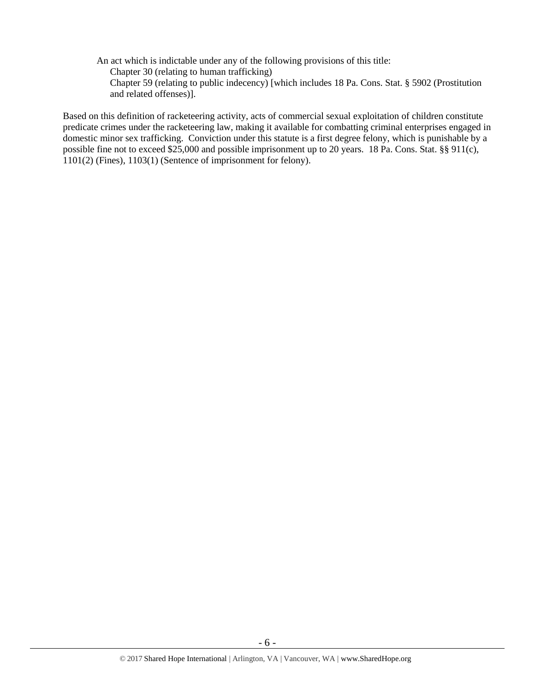- An act which is indictable under any of the following provisions of this title:
	- Chapter 30 (relating to human trafficking)
	- Chapter 59 (relating to public indecency) [which includes 18 Pa. Cons. Stat. § 5902 (Prostitution and related offenses)].

Based on this definition of racketeering activity, acts of commercial sexual exploitation of children constitute predicate crimes under the racketeering law, making it available for combatting criminal enterprises engaged in domestic minor sex trafficking. Conviction under this statute is a first degree felony, which is punishable by a possible fine not to exceed \$25,000 and possible imprisonment up to 20 years. 18 Pa. Cons. Stat. §§ 911(c), 1101(2) (Fines), 1103(1) (Sentence of imprisonment for felony).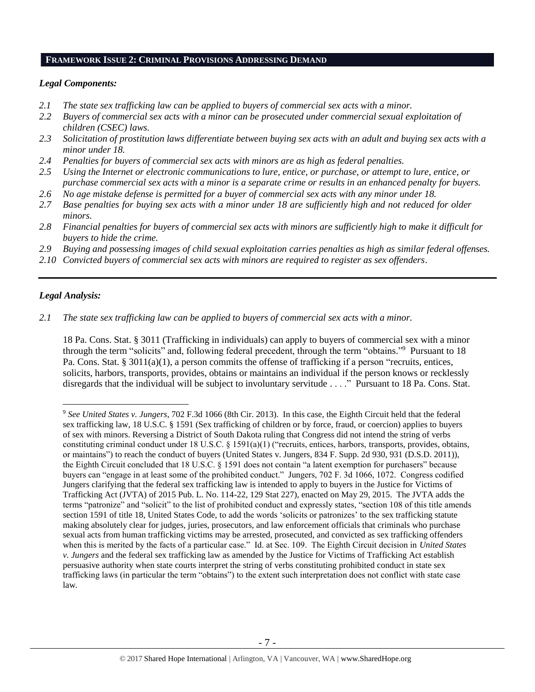#### **FRAMEWORK ISSUE 2: CRIMINAL PROVISIONS ADDRESSING DEMAND**

#### *Legal Components:*

- *2.1 The state sex trafficking law can be applied to buyers of commercial sex acts with a minor.*
- *2.2 Buyers of commercial sex acts with a minor can be prosecuted under commercial sexual exploitation of children (CSEC) laws.*
- *2.3 Solicitation of prostitution laws differentiate between buying sex acts with an adult and buying sex acts with a minor under 18.*
- *2.4 Penalties for buyers of commercial sex acts with minors are as high as federal penalties.*
- *2.5 Using the Internet or electronic communications to lure, entice, or purchase, or attempt to lure, entice, or purchase commercial sex acts with a minor is a separate crime or results in an enhanced penalty for buyers.*
- *2.6 No age mistake defense is permitted for a buyer of commercial sex acts with any minor under 18.*
- *2.7 Base penalties for buying sex acts with a minor under 18 are sufficiently high and not reduced for older minors.*
- *2.8 Financial penalties for buyers of commercial sex acts with minors are sufficiently high to make it difficult for buyers to hide the crime.*
- *2.9 Buying and possessing images of child sexual exploitation carries penalties as high as similar federal offenses.*
- *2.10 Convicted buyers of commercial sex acts with minors are required to register as sex offenders*.

## *Legal Analysis:*

 $\overline{a}$ 

*2.1 The state sex trafficking law can be applied to buyers of commercial sex acts with a minor.*

18 Pa. Cons. Stat. § 3011 (Trafficking in individuals) can apply to buyers of commercial sex with a minor through the term "solicits" and, following federal precedent, through the term "obtains." <sup>9</sup> Pursuant to 18 Pa. Cons. Stat. § 3011(a)(1), a person commits the offense of trafficking if a person "recruits, entices, solicits, harbors, transports, provides, obtains or maintains an individual if the person knows or recklessly disregards that the individual will be subject to involuntary servitude . . . ." Pursuant to 18 Pa. Cons. Stat.

<sup>9</sup> *See United States v. Jungers*, 702 F.3d 1066 (8th Cir. 2013). In this case, the Eighth Circuit held that the federal sex trafficking law, 18 U.S.C. § 1591 (Sex trafficking of children or by force, fraud, or coercion) applies to buyers of sex with minors. Reversing a District of South Dakota ruling that Congress did not intend the string of verbs constituting criminal conduct under 18 U.S.C.  $\S$  1591(a)(1) ("recruits, entices, harbors, transports, provides, obtains, or maintains") to reach the conduct of buyers (United States v. Jungers, 834 F. Supp. 2d 930, 931 (D.S.D. 2011)), the Eighth Circuit concluded that 18 U.S.C. § 1591 does not contain "a latent exemption for purchasers" because buyers can "engage in at least some of the prohibited conduct." Jungers, 702 F. 3d 1066, 1072. Congress codified Jungers clarifying that the federal sex trafficking law is intended to apply to buyers in the Justice for Victims of Trafficking Act (JVTA) of 2015 Pub. L. No. 114-22, 129 Stat 227), enacted on May 29, 2015. The JVTA adds the terms "patronize" and "solicit" to the list of prohibited conduct and expressly states, "section 108 of this title amends section 1591 of title 18, United States Code, to add the words 'solicits or patronizes' to the sex trafficking statute making absolutely clear for judges, juries, prosecutors, and law enforcement officials that criminals who purchase sexual acts from human trafficking victims may be arrested, prosecuted, and convicted as sex trafficking offenders when this is merited by the facts of a particular case." Id. at Sec. 109. The Eighth Circuit decision in *United States v. Jungers* and the federal sex trafficking law as amended by the Justice for Victims of Trafficking Act establish persuasive authority when state courts interpret the string of verbs constituting prohibited conduct in state sex trafficking laws (in particular the term "obtains") to the extent such interpretation does not conflict with state case law.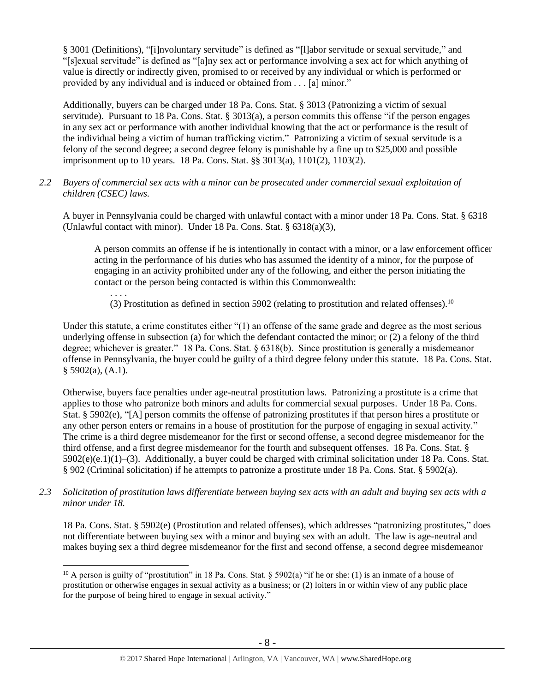§ 3001 (Definitions), "[i]nvoluntary servitude" is defined as "[l]abor servitude or sexual servitude," and "[s]exual servitude" is defined as "[a]ny sex act or performance involving a sex act for which anything of value is directly or indirectly given, promised to or received by any individual or which is performed or provided by any individual and is induced or obtained from . . . [a] minor."

Additionally, buyers can be charged under 18 Pa. Cons. Stat. § 3013 (Patronizing a victim of sexual servitude). Pursuant to 18 Pa. Cons. Stat. § 3013(a), a person commits this offense "if the person engages in any sex act or performance with another individual knowing that the act or performance is the result of the individual being a victim of human trafficking victim." Patronizing a victim of sexual servitude is a felony of the second degree; a second degree felony is punishable by a fine up to \$25,000 and possible imprisonment up to 10 years. 18 Pa. Cons. Stat. §§ 3013(a), 1101(2), 1103(2).

*2.2 Buyers of commercial sex acts with a minor can be prosecuted under commercial sexual exploitation of children (CSEC) laws.*

A buyer in Pennsylvania could be charged with unlawful contact with a minor under 18 Pa. Cons. Stat. § 6318 (Unlawful contact with minor). Under 18 Pa. Cons. Stat. § 6318(a)(3),

A person commits an offense if he is intentionally in contact with a minor, or a law enforcement officer acting in the performance of his duties who has assumed the identity of a minor, for the purpose of engaging in an activity prohibited under any of the following, and either the person initiating the contact or the person being contacted is within this Commonwealth:

. . . .

 $\overline{a}$ 

(3) Prostitution as defined in section 5902 (relating to prostitution and related offenses).<sup>10</sup>

Under this statute, a crime constitutes either "(1) an offense of the same grade and degree as the most serious underlying offense in subsection (a) for which the defendant contacted the minor; or (2) a felony of the third degree; whichever is greater." 18 Pa. Cons. Stat. § 6318(b). Since prostitution is generally a misdemeanor offense in Pennsylvania, the buyer could be guilty of a third degree felony under this statute. 18 Pa. Cons. Stat.  $§$  5902(a), (A.1).

Otherwise, buyers face penalties under age-neutral prostitution laws. Patronizing a prostitute is a crime that applies to those who patronize both minors and adults for commercial sexual purposes. Under 18 Pa. Cons. Stat. § 5902(e), "[A] person commits the offense of patronizing prostitutes if that person hires a prostitute or any other person enters or remains in a house of prostitution for the purpose of engaging in sexual activity." The crime is a third degree misdemeanor for the first or second offense, a second degree misdemeanor for the third offense, and a first degree misdemeanor for the fourth and subsequent offenses. 18 Pa. Cons. Stat. § 5902(e)(e.1)(1)–(3). Additionally, a buyer could be charged with criminal solicitation under 18 Pa. Cons. Stat. § 902 (Criminal solicitation) if he attempts to patronize a prostitute under 18 Pa. Cons. Stat. § 5902(a).

*2.3 Solicitation of prostitution laws differentiate between buying sex acts with an adult and buying sex acts with a minor under 18.*

18 Pa. Cons. Stat. § 5902(e) (Prostitution and related offenses), which addresses "patronizing prostitutes," does not differentiate between buying sex with a minor and buying sex with an adult. The law is age-neutral and makes buying sex a third degree misdemeanor for the first and second offense, a second degree misdemeanor

<sup>&</sup>lt;sup>10</sup> A person is guilty of "prostitution" in 18 Pa. Cons. Stat. § 5902(a) "if he or she: (1) is an inmate of a house of prostitution or otherwise engages in sexual activity as a business; or (2) loiters in or within view of any public place for the purpose of being hired to engage in sexual activity."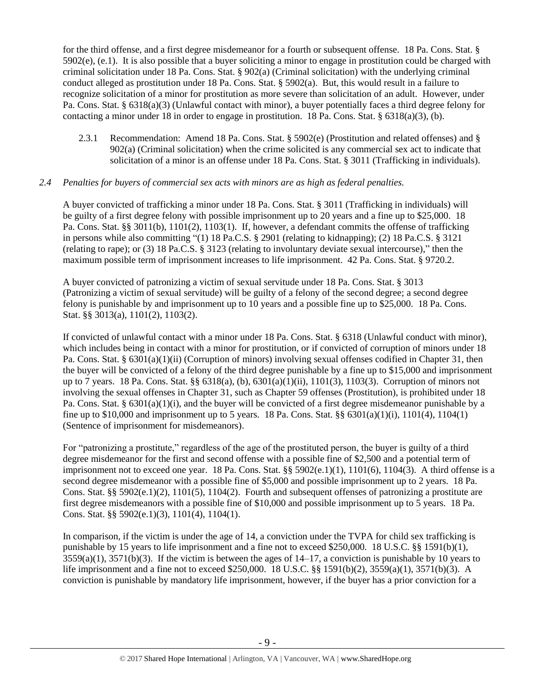for the third offense, and a first degree misdemeanor for a fourth or subsequent offense. 18 Pa. Cons. Stat. §  $5902(e)$ , (e.1). It is also possible that a buyer soliciting a minor to engage in prostitution could be charged with criminal solicitation under 18 Pa. Cons. Stat. § 902(a) (Criminal solicitation) with the underlying criminal conduct alleged as prostitution under 18 Pa. Cons. Stat. § 5902(a). But, this would result in a failure to recognize solicitation of a minor for prostitution as more severe than solicitation of an adult. However, under Pa. Cons. Stat. § 6318(a)(3) (Unlawful contact with minor), a buyer potentially faces a third degree felony for contacting a minor under 18 in order to engage in prostitution. 18 Pa. Cons. Stat. § 6318(a)(3), (b).

2.3.1 Recommendation: Amend 18 Pa. Cons. Stat. § 5902(e) (Prostitution and related offenses) and § 902(a) (Criminal solicitation) when the crime solicited is any commercial sex act to indicate that solicitation of a minor is an offense under 18 Pa. Cons. Stat. § 3011 (Trafficking in individuals).

## *2.4 Penalties for buyers of commercial sex acts with minors are as high as federal penalties.*

A buyer convicted of trafficking a minor under 18 Pa. Cons. Stat. § 3011 (Trafficking in individuals) will be guilty of a first degree felony with possible imprisonment up to 20 years and a fine up to \$25,000. 18 Pa. Cons. Stat. §§ 3011(b), 1101(2), 1103(1). If, however, a defendant commits the offense of trafficking in persons while also committing "(1) 18 Pa.C.S. § 2901 (relating to kidnapping); (2) 18 Pa.C.S. § 3121 (relating to rape); or (3) 18 Pa.C.S. § 3123 (relating to involuntary deviate sexual intercourse)," then the maximum possible term of imprisonment increases to life imprisonment. 42 Pa. Cons. Stat. § 9720.2.

A buyer convicted of patronizing a victim of sexual servitude under 18 Pa. Cons. Stat. § 3013 (Patronizing a victim of sexual servitude) will be guilty of a felony of the second degree; a second degree felony is punishable by and imprisonment up to 10 years and a possible fine up to \$25,000. 18 Pa. Cons. Stat. §§ 3013(a), 1101(2), 1103(2).

If convicted of unlawful contact with a minor under 18 Pa. Cons. Stat. § 6318 (Unlawful conduct with minor), which includes being in contact with a minor for prostitution, or if convicted of corruption of minors under 18 Pa. Cons. Stat. § 6301(a)(1)(ii) (Corruption of minors) involving sexual offenses codified in Chapter 31, then the buyer will be convicted of a felony of the third degree punishable by a fine up to \$15,000 and imprisonment up to 7 years. 18 Pa. Cons. Stat. §§ 6318(a), (b), 6301(a)(1)(ii), 1101(3), 1103(3). Corruption of minors not involving the sexual offenses in Chapter 31, such as Chapter 59 offenses (Prostitution), is prohibited under 18 Pa. Cons. Stat. § 6301(a)(1)(i), and the buyer will be convicted of a first degree misdemeanor punishable by a fine up to \$10,000 and imprisonment up to 5 years. 18 Pa. Cons. Stat. §§  $6301(a)(1)(i)$ ,  $1101(4)$ ,  $1104(1)$ (Sentence of imprisonment for misdemeanors).

For "patronizing a prostitute," regardless of the age of the prostituted person, the buyer is guilty of a third degree misdemeanor for the first and second offense with a possible fine of \$2,500 and a potential term of imprisonment not to exceed one year. 18 Pa. Cons. Stat.  $\S$  5902(e.1)(1), 1101(6), 1104(3). A third offense is a second degree misdemeanor with a possible fine of \$5,000 and possible imprisonment up to 2 years. 18 Pa. Cons. Stat. §§ 5902(e.1)(2), 1101(5), 1104(2). Fourth and subsequent offenses of patronizing a prostitute are first degree misdemeanors with a possible fine of \$10,000 and possible imprisonment up to 5 years. 18 Pa. Cons. Stat. §§ 5902(e.1)(3), 1101(4), 1104(1).

In comparison, if the victim is under the age of 14, a conviction under the TVPA for child sex trafficking is punishable by 15 years to life imprisonment and a fine not to exceed \$250,000. 18 U.S.C. §§ 1591(b)(1),  $3559(a)(1)$ ,  $3571(b)(3)$ . If the victim is between the ages of  $14-17$ , a conviction is punishable by 10 years to life imprisonment and a fine not to exceed \$250,000. 18 U.S.C. §§ 1591(b)(2), 3559(a)(1), 3571(b)(3). A conviction is punishable by mandatory life imprisonment, however, if the buyer has a prior conviction for a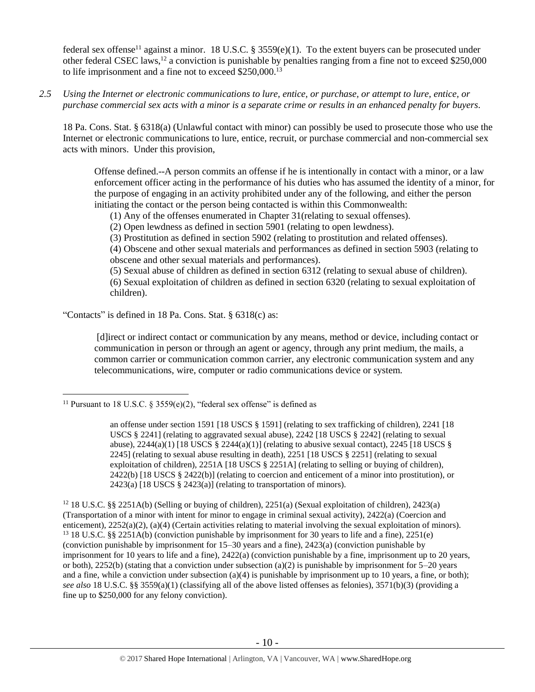<span id="page-9-0"></span>federal sex offense<sup>11</sup> against a minor. 18 U.S.C. § 3559(e)(1). To the extent buyers can be prosecuted under other federal CSEC laws,<sup>12</sup> a conviction is punishable by penalties ranging from a fine not to exceed \$250,000 to life imprisonment and a fine not to exceed \$250,000.<sup>13</sup>

*2.5 Using the Internet or electronic communications to lure, entice, or purchase, or attempt to lure, entice, or purchase commercial sex acts with a minor is a separate crime or results in an enhanced penalty for buyers.*

18 Pa. Cons. Stat. § 6318(a) (Unlawful contact with minor) can possibly be used to prosecute those who use the Internet or electronic communications to lure, entice, recruit, or purchase commercial and non-commercial sex acts with minors. Under this provision,

Offense defined.--A person commits an offense if he is intentionally in contact with a minor, or a law enforcement officer acting in the performance of his duties who has assumed the identity of a minor, for the purpose of engaging in an activity prohibited under any of the following, and either the person initiating the contact or the person being contacted is within this Commonwealth:

(1) Any of the offenses enumerated in Chapter 31(relating to sexual offenses).

(2) Open lewdness as defined in section 5901 (relating to open lewdness).

(3) Prostitution as defined in section 5902 (relating to prostitution and related offenses).

(4) Obscene and other sexual materials and performances as defined in section 5903 (relating to obscene and other sexual materials and performances).

(5) Sexual abuse of children as defined in section 6312 (relating to sexual abuse of children).

(6) Sexual exploitation of children as defined in section 6320 (relating to sexual exploitation of children).

"Contacts" is defined in 18 Pa. Cons. Stat. § 6318(c) as:

[d]irect or indirect contact or communication by any means, method or device, including contact or communication in person or through an agent or agency, through any print medium, the mails, a common carrier or communication common carrier, any electronic communication system and any telecommunications, wire, computer or radio communications device or system.

 $\overline{a}$ <sup>11</sup> Pursuant to 18 U.S.C. § 3559(e)(2), "federal sex offense" is defined as

an offense under section 1591 [18 USCS § 1591] (relating to sex trafficking of children), 2241 [18 USCS § 2241] (relating to aggravated sexual abuse), 2242 [18 USCS § 2242] (relating to sexual abuse),  $2244(a)(1)$  [18 USCS §  $2244(a)(1)$ ] (relating to abusive sexual contact),  $2245$  [18 USCS § 2245] (relating to sexual abuse resulting in death), 2251 [18 USCS § 2251] (relating to sexual exploitation of children), 2251A [18 USCS § 2251A] (relating to selling or buying of children), 2422(b) [18 USCS § 2422(b)] (relating to coercion and enticement of a minor into prostitution), or 2423(a) [18 USCS § 2423(a)] (relating to transportation of minors).

<sup>&</sup>lt;sup>12</sup> 18 U.S.C. §§ 2251A(b) (Selling or buying of children), 2251(a) (Sexual exploitation of children), 2423(a) (Transportation of a minor with intent for minor to engage in criminal sexual activity), 2422(a) (Coercion and enticement), 2252(a)(2), (a)(4) (Certain activities relating to material involving the sexual exploitation of minors). <sup>13</sup> 18 U.S.C. §§ 2251A(b) (conviction punishable by imprisonment for 30 years to life and a fine), 2251(e) (conviction punishable by imprisonment for 15–30 years and a fine), 2423(a) (conviction punishable by imprisonment for 10 years to life and a fine), 2422(a) (conviction punishable by a fine, imprisonment up to 20 years, or both), 2252(b) (stating that a conviction under subsection (a)(2) is punishable by imprisonment for  $5-20$  years and a fine, while a conviction under subsection (a)(4) is punishable by imprisonment up to 10 years, a fine, or both); *see also* 18 U.S.C. §§ 3559(a)(1) (classifying all of the above listed offenses as felonies), 3571(b)(3) (providing a fine up to \$250,000 for any felony conviction).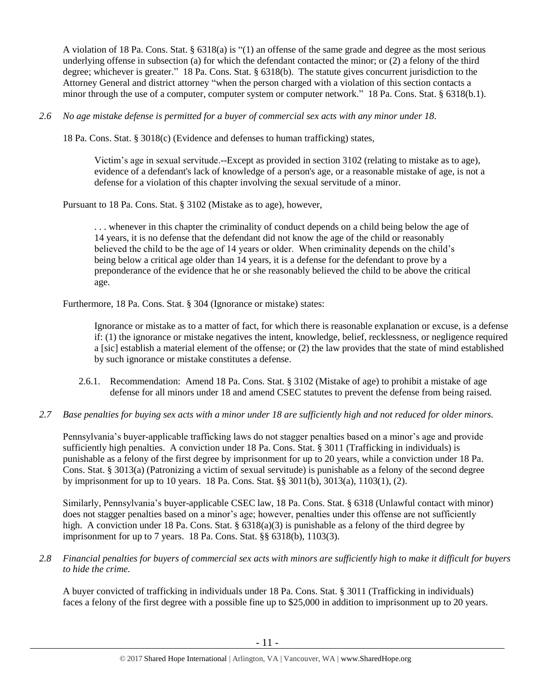A violation of 18 Pa. Cons. Stat. § 6318(a) is "(1) an offense of the same grade and degree as the most serious underlying offense in subsection (a) for which the defendant contacted the minor; or (2) a felony of the third degree; whichever is greater." 18 Pa. Cons. Stat. § 6318(b). The statute gives concurrent jurisdiction to the Attorney General and district attorney "when the person charged with a violation of this section contacts a minor through the use of a computer, computer system or computer network." 18 Pa. Cons. Stat. § 6318(b.1).

*2.6 No age mistake defense is permitted for a buyer of commercial sex acts with any minor under 18.*

18 Pa. Cons. Stat. § 3018(c) (Evidence and defenses to human trafficking) states,

Victim's age in sexual servitude.--Except as provided in section 3102 (relating to mistake as to age), evidence of a defendant's lack of knowledge of a person's age, or a reasonable mistake of age, is not a defense for a violation of this chapter involving the sexual servitude of a minor.

Pursuant to 18 Pa. Cons. Stat. § 3102 (Mistake as to age), however,

. . . whenever in this chapter the criminality of conduct depends on a child being below the age of 14 years, it is no defense that the defendant did not know the age of the child or reasonably believed the child to be the age of 14 years or older. When criminality depends on the child's being below a critical age older than 14 years, it is a defense for the defendant to prove by a preponderance of the evidence that he or she reasonably believed the child to be above the critical age.

Furthermore, 18 Pa. Cons. Stat. § 304 (Ignorance or mistake) states:

Ignorance or mistake as to a matter of fact, for which there is reasonable explanation or excuse, is a defense if: (1) the ignorance or mistake negatives the intent, knowledge, belief, recklessness, or negligence required a [sic] establish a material element of the offense; or (2) the law provides that the state of mind established by such ignorance or mistake constitutes a defense.

- 2.6.1. Recommendation: Amend 18 Pa. Cons. Stat. § 3102 (Mistake of age) to prohibit a mistake of age defense for all minors under 18 and amend CSEC statutes to prevent the defense from being raised.
- *2.7 Base penalties for buying sex acts with a minor under 18 are sufficiently high and not reduced for older minors.*

Pennsylvania's buyer-applicable trafficking laws do not stagger penalties based on a minor's age and provide sufficiently high penalties. A conviction under 18 Pa. Cons. Stat. § 3011 (Trafficking in individuals) is punishable as a felony of the first degree by imprisonment for up to 20 years, while a conviction under 18 Pa. Cons. Stat. § 3013(a) (Patronizing a victim of sexual servitude) is punishable as a felony of the second degree by imprisonment for up to 10 years. 18 Pa. Cons. Stat. §§ 3011(b), 3013(a), 1103(1), (2).

Similarly, Pennsylvania's buyer-applicable CSEC law, 18 Pa. Cons. Stat. § 6318 (Unlawful contact with minor) does not stagger penalties based on a minor's age; however, penalties under this offense are not sufficiently high. A conviction under 18 Pa. Cons. Stat. §  $6318(a)(3)$  is punishable as a felony of the third degree by imprisonment for up to 7 years. 18 Pa. Cons. Stat. §§ 6318(b), 1103(3).

*2.8 Financial penalties for buyers of commercial sex acts with minors are sufficiently high to make it difficult for buyers to hide the crime.*

A buyer convicted of trafficking in individuals under 18 Pa. Cons. Stat. § 3011 (Trafficking in individuals) faces a felony of the first degree with a possible fine up to \$25,000 in addition to imprisonment up to 20 years.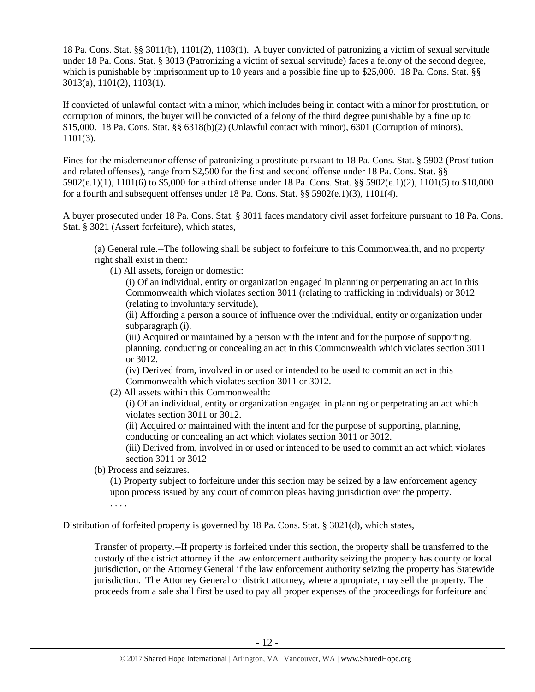18 Pa. Cons. Stat. §§ 3011(b), 1101(2), 1103(1). A buyer convicted of patronizing a victim of sexual servitude under 18 Pa. Cons. Stat. § 3013 (Patronizing a victim of sexual servitude) faces a felony of the second degree, which is punishable by imprisonment up to 10 years and a possible fine up to \$25,000. 18 Pa. Cons. Stat. §§ 3013(a), 1101(2), 1103(1).

If convicted of unlawful contact with a minor, which includes being in contact with a minor for prostitution, or corruption of minors, the buyer will be convicted of a felony of the third degree punishable by a fine up to \$15,000. 18 Pa. Cons. Stat. §§ 6318(b)(2) (Unlawful contact with minor), 6301 (Corruption of minors), 1101(3).

Fines for the misdemeanor offense of patronizing a prostitute pursuant to 18 Pa. Cons. Stat. § 5902 (Prostitution and related offenses), range from \$2,500 for the first and second offense under 18 Pa. Cons. Stat. §§ 5902(e.1)(1), 1101(6) to \$5,000 for a third offense under 18 Pa. Cons. Stat. §§ 5902(e.1)(2), 1101(5) to \$10,000 for a fourth and subsequent offenses under 18 Pa. Cons. Stat.  $88\frac{5902(e.1)}{3}$ , 1101(4).

A buyer prosecuted under 18 Pa. Cons. Stat. § 3011 faces mandatory civil asset forfeiture pursuant to 18 Pa. Cons. Stat. § 3021 (Assert forfeiture), which states,

(a) General rule.--The following shall be subject to forfeiture to this Commonwealth, and no property right shall exist in them:

(1) All assets, foreign or domestic:

(i) Of an individual, entity or organization engaged in planning or perpetrating an act in this Commonwealth which violates section 3011 (relating to trafficking in individuals) or 3012 (relating to involuntary servitude),

(ii) Affording a person a source of influence over the individual, entity or organization under subparagraph (i).

(iii) Acquired or maintained by a person with the intent and for the purpose of supporting, planning, conducting or concealing an act in this Commonwealth which violates section 3011 or 3012.

(iv) Derived from, involved in or used or intended to be used to commit an act in this Commonwealth which violates section 3011 or 3012.

(2) All assets within this Commonwealth:

(i) Of an individual, entity or organization engaged in planning or perpetrating an act which violates section 3011 or 3012.

(ii) Acquired or maintained with the intent and for the purpose of supporting, planning, conducting or concealing an act which violates section 3011 or 3012.

(iii) Derived from, involved in or used or intended to be used to commit an act which violates section 3011 or 3012

(b) Process and seizures.

(1) Property subject to forfeiture under this section may be seized by a law enforcement agency upon process issued by any court of common pleas having jurisdiction over the property. . . . .

Distribution of forfeited property is governed by 18 Pa. Cons. Stat. § 3021(d), which states,

Transfer of property.--If property is forfeited under this section, the property shall be transferred to the custody of the district attorney if the law enforcement authority seizing the property has county or local jurisdiction, or the Attorney General if the law enforcement authority seizing the property has Statewide jurisdiction. The Attorney General or district attorney, where appropriate, may sell the property. The proceeds from a sale shall first be used to pay all proper expenses of the proceedings for forfeiture and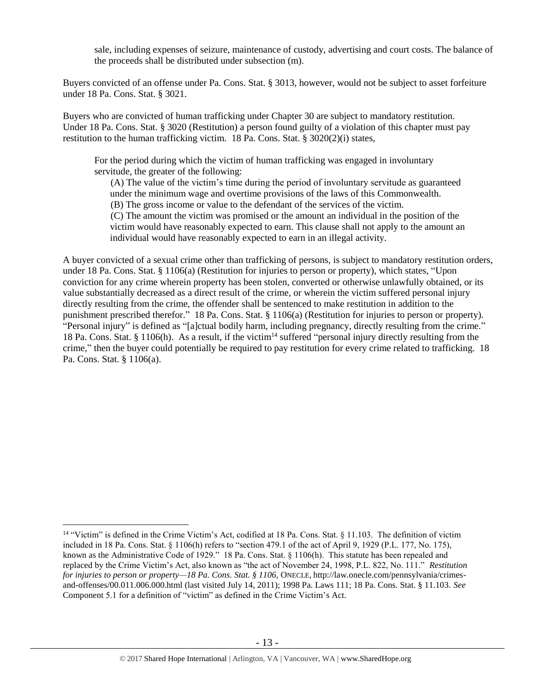sale, including expenses of seizure, maintenance of custody, advertising and court costs. The balance of the proceeds shall be distributed under subsection (m).

Buyers convicted of an offense under Pa. Cons. Stat. § 3013, however, would not be subject to asset forfeiture under 18 Pa. Cons. Stat. § 3021.

Buyers who are convicted of human trafficking under Chapter 30 are subject to mandatory restitution. Under 18 Pa. Cons. Stat. § 3020 (Restitution) a person found guilty of a violation of this chapter must pay restitution to the human trafficking victim. 18 Pa. Cons. Stat. § 3020(2)(i) states,

For the period during which the victim of human trafficking was engaged in involuntary servitude, the greater of the following:

(A) The value of the victim's time during the period of involuntary servitude as guaranteed under the minimum wage and overtime provisions of the laws of this Commonwealth. (B) The gross income or value to the defendant of the services of the victim.

(C) The amount the victim was promised or the amount an individual in the position of the victim would have reasonably expected to earn. This clause shall not apply to the amount an individual would have reasonably expected to earn in an illegal activity.

A buyer convicted of a sexual crime other than trafficking of persons, is subject to mandatory restitution orders, under 18 Pa. Cons. Stat. § 1106(a) (Restitution for injuries to person or property), which states, "Upon conviction for any crime wherein property has been stolen, converted or otherwise unlawfully obtained, or its value substantially decreased as a direct result of the crime, or wherein the victim suffered personal injury directly resulting from the crime, the offender shall be sentenced to make restitution in addition to the punishment prescribed therefor." 18 Pa. Cons. Stat. § 1106(a) (Restitution for injuries to person or property). "Personal injury" is defined as "[a]ctual bodily harm, including pregnancy, directly resulting from the crime." 18 Pa. Cons. Stat. § 1106(h). As a result, if the victim<sup>14</sup> suffered "personal injury directly resulting from the crime," then the buyer could potentially be required to pay restitution for every crime related to trafficking. 18 Pa. Cons. Stat. § 1106(a).

 $\overline{a}$ 

<sup>&</sup>lt;sup>14</sup> "Victim" is defined in the Crime Victim's Act, codified at 18 Pa. Cons. Stat. § 11.103. The definition of victim included in 18 Pa. Cons. Stat. § 1106(h) refers to "section 479.1 of the act of April 9, 1929 (P.L. 177, No. 175), known as the Administrative Code of 1929." 18 Pa. Cons. Stat. § 1106(h). This statute has been repealed and replaced by the Crime Victim's Act, also known as "the act of November 24, 1998, P.L. 822, No. 111." *Restitution for injuries to person or property—18 Pa. Cons. Stat. § 1106*, ONECLE, http://law.onecle.com/pennsylvania/crimesand-offenses/00.011.006.000.html (last visited July 14, 2011); 1998 Pa. Laws 111; 18 Pa. Cons. Stat. § 11.103. *See* Component 5.1 for a definition of "victim" as defined in the Crime Victim's Act.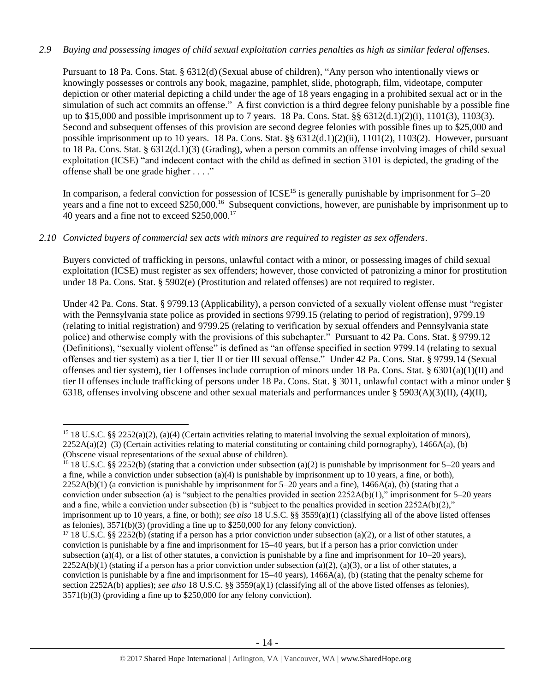# *2.9 Buying and possessing images of child sexual exploitation carries penalties as high as similar federal offenses.*

Pursuant to 18 Pa. Cons. Stat. § 6312(d)(Sexual abuse of children), "Any person who intentionally views or knowingly possesses or controls any book, magazine, pamphlet, slide, photograph, film, videotape, computer depiction or other material depicting a child under the age of 18 years engaging in a prohibited sexual act or in the simulation of such act commits an offense." A first conviction is a third degree felony punishable by a possible fine up to \$15,000 and possible imprisonment up to 7 years. 18 Pa. Cons. Stat. §§ 6312(d.1)(2)(i), 1101(3), 1103(3). Second and subsequent offenses of this provision are second degree felonies with possible fines up to \$25,000 and possible imprisonment up to 10 years. 18 Pa. Cons. Stat. §§ 6312(d.1)(2)(ii), 1101(2), 1103(2). However, pursuant to 18 Pa. Cons. Stat. § 6312(d.1)(3) (Grading), when a person commits an offense involving images of child sexual exploitation (ICSE) "and indecent contact with the child as defined in section 3101 is depicted, the grading of the offense shall be one grade higher . . . ."

In comparison, a federal conviction for possession of  $ICSE<sup>15</sup>$  is generally punishable by imprisonment for  $5-20$ years and a fine not to exceed \$250,000.<sup>16</sup> Subsequent convictions, however, are punishable by imprisonment up to 40 years and a fine not to exceed \$250,000.<sup>17</sup>

## *2.10 Convicted buyers of commercial sex acts with minors are required to register as sex offenders*.

 $\overline{a}$ 

Buyers convicted of trafficking in persons, unlawful contact with a minor, or possessing images of child sexual exploitation (ICSE) must register as sex offenders; however, those convicted of patronizing a minor for prostitution under 18 Pa. Cons. Stat. § 5902(e) (Prostitution and related offenses) are not required to register.

Under 42 Pa. Cons. Stat. § 9799.13 (Applicability), a person convicted of a sexually violent offense must "register with the Pennsylvania state police as provided in sections 9799.15 (relating to period of registration), 9799.19 (relating to initial registration) and 9799.25 (relating to verification by sexual offenders and Pennsylvania state police) and otherwise comply with the provisions of this subchapter." Pursuant to 42 Pa. Cons. Stat. § 9799.12 (Definitions), "sexually violent offense" is defined as "an offense specified in section 9799.14 (relating to sexual offenses and tier system) as a tier I, tier II or tier III sexual offense." Under 42 Pa. Cons. Stat. § 9799.14 (Sexual offenses and tier system), tier I offenses include corruption of minors under 18 Pa. Cons. Stat. § 6301(a)(1)(II) and tier II offenses include trafficking of persons under 18 Pa. Cons. Stat. § 3011, unlawful contact with a minor under § 6318, offenses involving obscene and other sexual materials and performances under § 5903(A)(3)(II), (4)(II),

<sup>16</sup> 18 U.S.C. §§ 2252(b) (stating that a conviction under subsection (a)(2) is punishable by imprisonment for 5–20 years and a fine, while a conviction under subsection  $(a)(4)$  is punishable by imprisonment up to 10 years, a fine, or both),  $2252A(b)(1)$  (a conviction is punishable by imprisonment for  $5-20$  years and a fine),  $1466A(a)$ , (b) (stating that a conviction under subsection (a) is "subject to the penalties provided in section  $2252A(b)(1)$ ," imprisonment for  $5-20$  years and a fine, while a conviction under subsection (b) is "subject to the penalties provided in section  $2252A(b)(2)$ ," imprisonment up to 10 years, a fine, or both); *see also* 18 U.S.C. §§ 3559(a)(1) (classifying all of the above listed offenses as felonies), 3571(b)(3) (providing a fine up to \$250,000 for any felony conviction).

<sup>17</sup> 18 U.S.C. §§ 2252(b) (stating if a person has a prior conviction under subsection (a)(2), or a list of other statutes, a conviction is punishable by a fine and imprisonment for 15–40 years, but if a person has a prior conviction under subsection (a)(4), or a list of other statutes, a conviction is punishable by a fine and imprisonment for  $10-20$  years),  $2252A(b)(1)$  (stating if a person has a prior conviction under subsection (a)(2), (a)(3), or a list of other statutes, a conviction is punishable by a fine and imprisonment for 15–40 years), 1466A(a), (b) (stating that the penalty scheme for section 2252A(b) applies); *see also* 18 U.S.C. §§ 3559(a)(1) (classifying all of the above listed offenses as felonies), 3571(b)(3) (providing a fine up to \$250,000 for any felony conviction).

<sup>&</sup>lt;sup>15</sup> 18 U.S.C. §§ 2252(a)(2), (a)(4) (Certain activities relating to material involving the sexual exploitation of minors),  $2252A(a)(2)$ –(3) (Certain activities relating to material constituting or containing child pornography), 1466A(a), (b) (Obscene visual representations of the sexual abuse of children).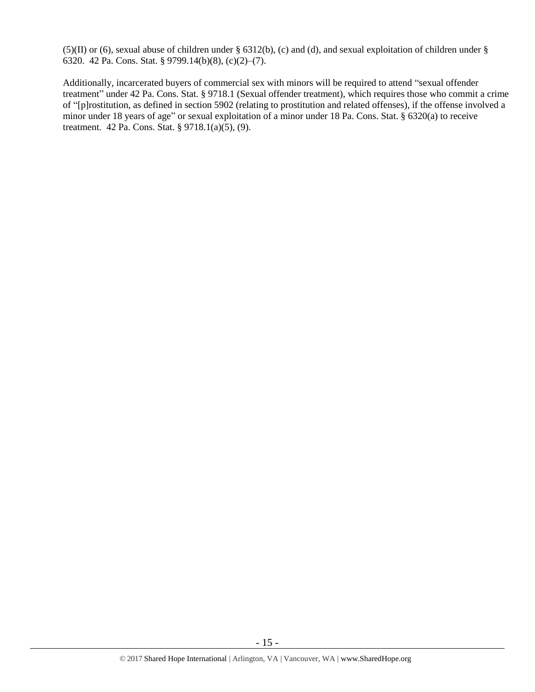$(5)(II)$  or (6), sexual abuse of children under § 6312(b), (c) and (d), and sexual exploitation of children under § 6320. 42 Pa. Cons. Stat. § 9799.14(b)(8), (c)(2)–(7).

Additionally, incarcerated buyers of commercial sex with minors will be required to attend "sexual offender treatment" under 42 Pa. Cons. Stat. § 9718.1 (Sexual offender treatment), which requires those who commit a crime of "[p]rostitution, as defined in section 5902 (relating to prostitution and related offenses), if the offense involved a minor under 18 years of age" or sexual exploitation of a minor under 18 Pa. Cons. Stat. § 6320(a) to receive treatment. 42 Pa. Cons. Stat. § 9718.1(a)(5), (9).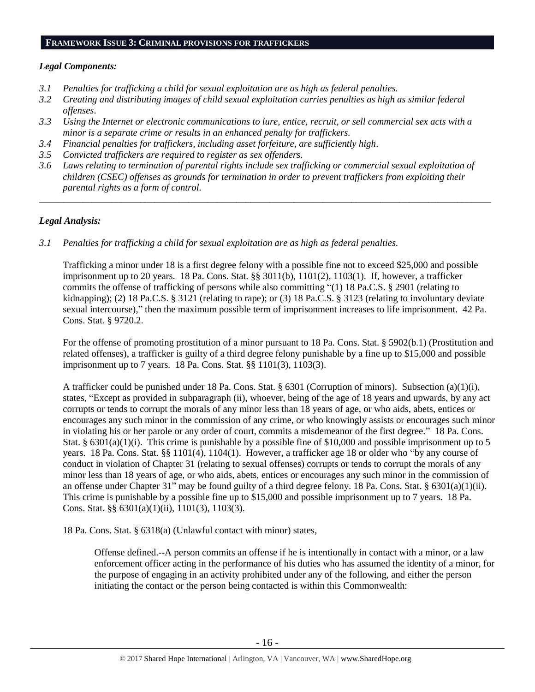#### **FRAMEWORK ISSUE 3: CRIMINAL PROVISIONS FOR TRAFFICKERS**

## *Legal Components:*

- *3.1 Penalties for trafficking a child for sexual exploitation are as high as federal penalties.*
- *3.2 Creating and distributing images of child sexual exploitation carries penalties as high as similar federal offenses*.
- *3.3 Using the Internet or electronic communications to lure, entice, recruit, or sell commercial sex acts with a minor is a separate crime or results in an enhanced penalty for traffickers.*
- *3.4 Financial penalties for traffickers, including asset forfeiture, are sufficiently high*.
- *3.5 Convicted traffickers are required to register as sex offenders.*
- *3.6 Laws relating to termination of parental rights include sex trafficking or commercial sexual exploitation of children (CSEC) offenses as grounds for termination in order to prevent traffickers from exploiting their parental rights as a form of control.*

*\_\_\_\_\_\_\_\_\_\_\_\_\_\_\_\_\_\_\_\_\_\_\_\_\_\_\_\_\_\_\_\_\_\_\_\_\_\_\_\_\_\_\_\_\_\_\_\_\_\_\_\_\_\_\_\_\_\_\_\_\_\_\_\_\_\_\_\_\_\_\_\_\_\_\_\_\_\_\_\_\_\_\_\_\_\_\_\_\_\_\_\_\_\_*

# *Legal Analysis:*

*3.1 Penalties for trafficking a child for sexual exploitation are as high as federal penalties.*

Trafficking a minor under 18 is a first degree felony with a possible fine not to exceed \$25,000 and possible imprisonment up to 20 years. 18 Pa. Cons. Stat. §§ 3011(b), 1101(2), 1103(1). If, however, a trafficker commits the offense of trafficking of persons while also committing "(1) 18 Pa.C.S. § 2901 (relating to kidnapping); (2) 18 Pa.C.S. § 3121 (relating to rape); or (3) 18 Pa.C.S. § 3123 (relating to involuntary deviate sexual intercourse)," then the maximum possible term of imprisonment increases to life imprisonment. 42 Pa. Cons. Stat. § 9720.2.

For the offense of promoting prostitution of a minor pursuant to 18 Pa. Cons. Stat. § 5902(b.1) (Prostitution and related offenses), a trafficker is guilty of a third degree felony punishable by a fine up to \$15,000 and possible imprisonment up to 7 years. 18 Pa. Cons. Stat. §§ 1101(3), 1103(3).

A trafficker could be punished under 18 Pa. Cons. Stat. § 6301 (Corruption of minors). Subsection (a)(1)(i), states, "Except as provided in subparagraph (ii), whoever, being of the age of 18 years and upwards, by any act corrupts or tends to corrupt the morals of any minor less than 18 years of age, or who aids, abets, entices or encourages any such minor in the commission of any crime, or who knowingly assists or encourages such minor in violating his or her parole or any order of court, commits a misdemeanor of the first degree." 18 Pa. Cons. Stat. § 6301(a)(1)(i). This crime is punishable by a possible fine of \$10,000 and possible imprisonment up to 5 years. 18 Pa. Cons. Stat. §§ 1101(4), 1104(1). However, a trafficker age 18 or older who "by any course of conduct in violation of Chapter 31 (relating to sexual offenses) corrupts or tends to corrupt the morals of any minor less than 18 years of age, or who aids, abets, entices or encourages any such minor in the commission of an offense under Chapter 31" may be found guilty of a third degree felony. 18 Pa. Cons. Stat. §  $6301(a)(1)(ii)$ . This crime is punishable by a possible fine up to \$15,000 and possible imprisonment up to 7 years. 18 Pa. Cons. Stat. §§ 6301(a)(1)(ii), 1101(3), 1103(3).

18 Pa. Cons. Stat. § 6318(a) (Unlawful contact with minor) states,

Offense defined.--A person commits an offense if he is intentionally in contact with a minor, or a law enforcement officer acting in the performance of his duties who has assumed the identity of a minor, for the purpose of engaging in an activity prohibited under any of the following, and either the person initiating the contact or the person being contacted is within this Commonwealth: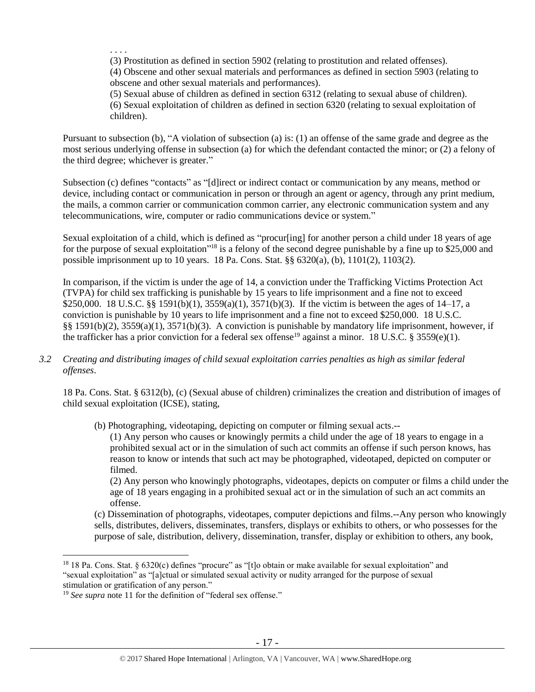. . . .

(3) Prostitution as defined in section 5902 (relating to prostitution and related offenses). (4) Obscene and other sexual materials and performances as defined in section 5903 (relating to obscene and other sexual materials and performances).

(5) Sexual abuse of children as defined in section 6312 (relating to sexual abuse of children). (6) Sexual exploitation of children as defined in section 6320 (relating to sexual exploitation of children).

Pursuant to subsection (b), "A violation of subsection (a) is: (1) an offense of the same grade and degree as the most serious underlying offense in subsection (a) for which the defendant contacted the minor; or (2) a felony of the third degree; whichever is greater."

Subsection (c) defines "contacts" as "[d]irect or indirect contact or communication by any means, method or device, including contact or communication in person or through an agent or agency, through any print medium, the mails, a common carrier or communication common carrier, any electronic communication system and any telecommunications, wire, computer or radio communications device or system."

Sexual exploitation of a child, which is defined as "procur[ing] for another person a child under 18 years of age for the purpose of sexual exploitation<sup>"18</sup> is a felony of the second degree punishable by a fine up to \$25,000 and possible imprisonment up to 10 years. 18 Pa. Cons. Stat. §§ 6320(a), (b), 1101(2), 1103(2).

In comparison, if the victim is under the age of 14, a conviction under the Trafficking Victims Protection Act (TVPA) for child sex trafficking is punishable by 15 years to life imprisonment and a fine not to exceed \$250,000. 18 U.S.C. §§ 1591(b)(1), 3559(a)(1), 3571(b)(3). If the victim is between the ages of 14–17, a conviction is punishable by 10 years to life imprisonment and a fine not to exceed \$250,000. 18 U.S.C. §§ 1591(b)(2), 3559(a)(1), 3571(b)(3). A conviction is punishable by mandatory life imprisonment, however, if the trafficker has a prior conviction for a federal sex offense<sup>19</sup> against a minor. 18 U.S.C. § 3559(e)(1).

*3.2 Creating and distributing images of child sexual exploitation carries penalties as high as similar federal offenses*.

18 Pa. Cons. Stat. § 6312(b), (c) (Sexual abuse of children) criminalizes the creation and distribution of images of child sexual exploitation (ICSE), stating,

(b) Photographing, videotaping, depicting on computer or filming sexual acts.--

(1) Any person who causes or knowingly permits a child under the age of 18 years to engage in a prohibited sexual act or in the simulation of such act commits an offense if such person knows, has reason to know or intends that such act may be photographed, videotaped, depicted on computer or filmed.

(2) Any person who knowingly photographs, videotapes, depicts on computer or films a child under the age of 18 years engaging in a prohibited sexual act or in the simulation of such an act commits an offense.

(c) Dissemination of photographs, videotapes, computer depictions and films.--Any person who knowingly sells, distributes, delivers, disseminates, transfers, displays or exhibits to others, or who possesses for the purpose of sale, distribution, delivery, dissemination, transfer, display or exhibition to others, any book,

 $\overline{a}$ 

<sup>&</sup>lt;sup>18</sup> 18 Pa. Cons. Stat. § 6320(c) defines "procure" as "[t]o obtain or make available for sexual exploitation" and "sexual exploitation" as "[a]ctual or simulated sexual activity or nudity arranged for the purpose of sexual stimulation or gratification of any person."

<sup>&</sup>lt;sup>19</sup> *See supra* note [11](#page-9-0) for the definition of "federal sex offense."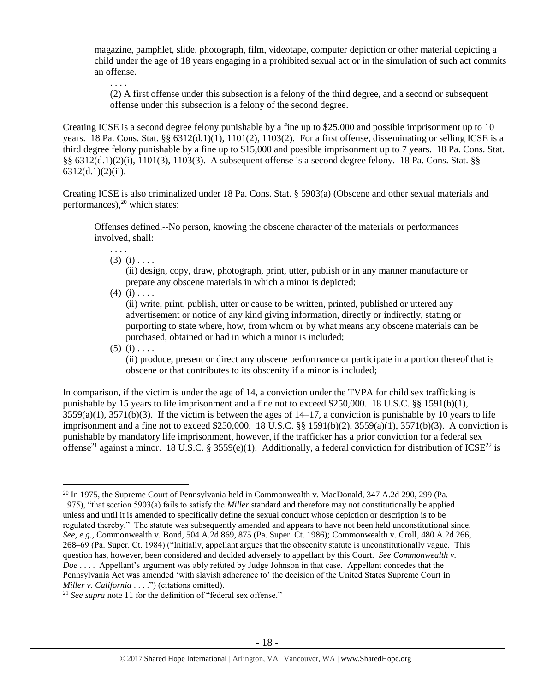magazine, pamphlet, slide, photograph, film, videotape, computer depiction or other material depicting a child under the age of 18 years engaging in a prohibited sexual act or in the simulation of such act commits an offense.

(2) A first offense under this subsection is a felony of the third degree, and a second or subsequent offense under this subsection is a felony of the second degree.

Creating ICSE is a second degree felony punishable by a fine up to \$25,000 and possible imprisonment up to 10 years. 18 Pa. Cons. Stat. §§ 6312(d.1)(1), 1101(2), 1103(2). For a first offense, disseminating or selling ICSE is a third degree felony punishable by a fine up to \$15,000 and possible imprisonment up to 7 years. 18 Pa. Cons. Stat. §§ 6312(d.1)(2)(i), 1101(3), 1103(3). A subsequent offense is a second degree felony. 18 Pa. Cons. Stat. §§  $6312(d.1)(2)(ii)$ .

Creating ICSE is also criminalized under 18 Pa. Cons. Stat. § 5903(a) (Obscene and other sexual materials and performances),<sup>20</sup> which states:

Offenses defined.--No person, knowing the obscene character of the materials or performances involved, shall:

 $(3)$   $(i)$ ....

. . . .

. . . .

<span id="page-17-0"></span>(ii) design, copy, draw, photograph, print, utter, publish or in any manner manufacture or prepare any obscene materials in which a minor is depicted;

 $(4)$   $(i)$  . . . .

(ii) write, print, publish, utter or cause to be written, printed, published or uttered any advertisement or notice of any kind giving information, directly or indirectly, stating or purporting to state where, how, from whom or by what means any obscene materials can be purchased, obtained or had in which a minor is included;

 $(5)$  (i) . . . .

 $\overline{a}$ 

(ii) produce, present or direct any obscene performance or participate in a portion thereof that is obscene or that contributes to its obscenity if a minor is included;

In comparison, if the victim is under the age of 14, a conviction under the TVPA for child sex trafficking is punishable by 15 years to life imprisonment and a fine not to exceed \$250,000. 18 U.S.C. §§ 1591(b)(1),  $3559(a)(1)$ ,  $3571(b)(3)$ . If the victim is between the ages of  $14-17$ , a conviction is punishable by 10 years to life imprisonment and a fine not to exceed \$250,000. 18 U.S.C. §§ 1591(b)(2), 3559(a)(1), 3571(b)(3). A conviction is punishable by mandatory life imprisonment, however, if the trafficker has a prior conviction for a federal sex offense<sup>21</sup> against a minor. 18 U.S.C. § 3559(e)(1). Additionally, a federal conviction for distribution of ICSE<sup>22</sup> is

<sup>&</sup>lt;sup>20</sup> In 1975, the Supreme Court of Pennsylvania held in Commonwealth v. MacDonald, 347 A.2d 290, 299 (Pa. 1975), "that section 5903(a) fails to satisfy the *Miller* standard and therefore may not constitutionally be applied unless and until it is amended to specifically define the sexual conduct whose depiction or description is to be regulated thereby." The statute was subsequently amended and appears to have not been held unconstitutional since. *See, e.g.*, Commonwealth v. Bond, 504 A.2d 869, 875 (Pa. Super. Ct. 1986); Commonwealth v. Croll, 480 A.2d 266, 268–69 (Pa. Super. Ct. 1984) ("Initially, appellant argues that the obscenity statute is unconstitutionally vague. This question has, however, been considered and decided adversely to appellant by this Court. *See Commonwealth v. Doe* . . . . Appellant's argument was ably refuted by Judge Johnson in that case. Appellant concedes that the Pennsylvania Act was amended 'with slavish adherence to' the decision of the United States Supreme Court in *Miller v. California* . . . .") (citations omitted).

<sup>21</sup> *See supra* note [11](#page-9-0) for the definition of "federal sex offense."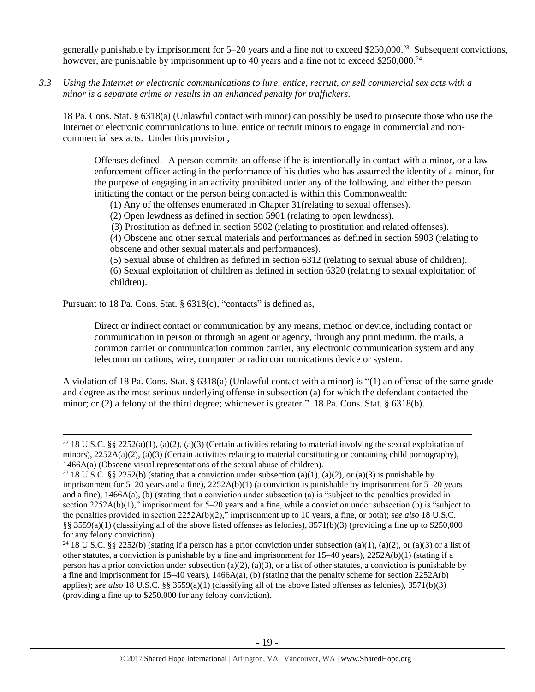generally punishable by imprisonment for  $5-20$  years and a fine not to exceed \$250,000.<sup>23</sup> Subsequent convictions, however, are punishable by imprisonment up to 40 years and a fine not to exceed \$250,000.<sup>24</sup>

*3.3 Using the Internet or electronic communications to lure, entice, recruit, or sell commercial sex acts with a minor is a separate crime or results in an enhanced penalty for traffickers.*

18 Pa. Cons. Stat. § 6318(a) (Unlawful contact with minor) can possibly be used to prosecute those who use the Internet or electronic communications to lure, entice or recruit minors to engage in commercial and noncommercial sex acts. Under this provision,

Offenses defined.--A person commits an offense if he is intentionally in contact with a minor, or a law enforcement officer acting in the performance of his duties who has assumed the identity of a minor, for the purpose of engaging in an activity prohibited under any of the following, and either the person initiating the contact or the person being contacted is within this Commonwealth:

(1) Any of the offenses enumerated in Chapter 31(relating to sexual offenses).

(2) Open lewdness as defined in section 5901 (relating to open lewdness).

(3) Prostitution as defined in section 5902 (relating to prostitution and related offenses).

(4) Obscene and other sexual materials and performances as defined in section 5903 (relating to obscene and other sexual materials and performances).

(5) Sexual abuse of children as defined in section 6312 (relating to sexual abuse of children). (6) Sexual exploitation of children as defined in section 6320 (relating to sexual exploitation of children).

Pursuant to 18 Pa. Cons. Stat. § 6318(c), "contacts" is defined as,

 $\overline{a}$ 

Direct or indirect contact or communication by any means, method or device, including contact or communication in person or through an agent or agency, through any print medium, the mails, a common carrier or communication common carrier, any electronic communication system and any telecommunications, wire, computer or radio communications device or system.

A violation of 18 Pa. Cons. Stat. § 6318(a) (Unlawful contact with a minor) is "(1) an offense of the same grade and degree as the most serious underlying offense in subsection (a) for which the defendant contacted the minor; or (2) a felony of the third degree; whichever is greater." 18 Pa. Cons. Stat. § 6318(b).

<sup>&</sup>lt;sup>22</sup> 18 U.S.C. §§ 2252(a)(1), (a)(2), (a)(3) (Certain activities relating to material involving the sexual exploitation of minors),  $2252A(a)(2)$ ,  $(a)(3)$  (Certain activities relating to material constituting or containing child pornography), 1466A(a) (Obscene visual representations of the sexual abuse of children).

<sup>&</sup>lt;sup>23</sup> 18 U.S.C. §§ 2252(b) (stating that a conviction under subsection (a)(1), (a)(2), or (a)(3) is punishable by imprisonment for  $5-20$  years and a fine),  $2252A(b)(1)$  (a conviction is punishable by imprisonment for  $5-20$  years and a fine), 1466A(a), (b) (stating that a conviction under subsection (a) is "subject to the penalties provided in section 2252A(b)(1)," imprisonment for 5–20 years and a fine, while a conviction under subsection (b) is "subject to the penalties provided in section 2252A(b)(2)," imprisonment up to 10 years, a fine, or both); *see also* 18 U.S.C. §§ 3559(a)(1) (classifying all of the above listed offenses as felonies), 3571(b)(3) (providing a fine up to \$250,000 for any felony conviction).

<sup>&</sup>lt;sup>24</sup> 18 U.S.C. §§ 2252(b) (stating if a person has a prior conviction under subsection (a)(1), (a)(2), or (a)(3) or a list of other statutes, a conviction is punishable by a fine and imprisonment for  $15-40$  years),  $2252A(b)(1)$  (stating if a person has a prior conviction under subsection (a)(2), (a)(3), or a list of other statutes, a conviction is punishable by a fine and imprisonment for  $15-40$  years),  $1466A(a)$ , (b) (stating that the penalty scheme for section  $2252A(b)$ applies); *see also* 18 U.S.C. §§ 3559(a)(1) (classifying all of the above listed offenses as felonies), 3571(b)(3) (providing a fine up to \$250,000 for any felony conviction).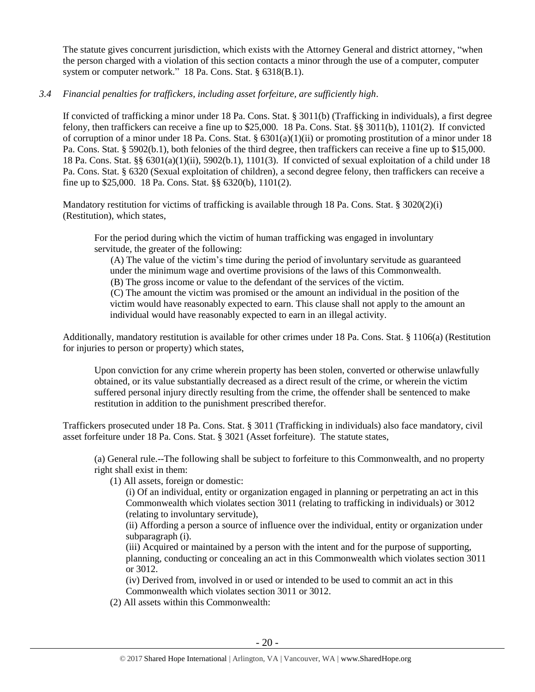The statute gives concurrent jurisdiction, which exists with the Attorney General and district attorney, "when the person charged with a violation of this section contacts a minor through the use of a computer, computer system or computer network." 18 Pa. Cons. Stat. § 6318(B.1).

# *3.4 Financial penalties for traffickers, including asset forfeiture, are sufficiently high*.

If convicted of trafficking a minor under 18 Pa. Cons. Stat. § 3011(b) (Trafficking in individuals), a first degree felony, then traffickers can receive a fine up to \$25,000. 18 Pa. Cons. Stat. §§ 3011(b), 1101(2). If convicted of corruption of a minor under 18 Pa. Cons. Stat. §  $6301(a)(1)(ii)$  or promoting prostitution of a minor under 18 Pa. Cons. Stat. § 5902(b.1), both felonies of the third degree, then traffickers can receive a fine up to \$15,000. 18 Pa. Cons. Stat. §§ 6301(a)(1)(ii), 5902(b.1), 1101(3). If convicted of sexual exploitation of a child under 18 Pa. Cons. Stat. § 6320 (Sexual exploitation of children), a second degree felony, then traffickers can receive a fine up to \$25,000. 18 Pa. Cons. Stat. §§ 6320(b), 1101(2).

Mandatory restitution for victims of trafficking is available through 18 Pa. Cons. Stat. § 3020(2)(i) (Restitution), which states,

For the period during which the victim of human trafficking was engaged in involuntary servitude, the greater of the following:

(A) The value of the victim's time during the period of involuntary servitude as guaranteed under the minimum wage and overtime provisions of the laws of this Commonwealth.

(B) The gross income or value to the defendant of the services of the victim.

(C) The amount the victim was promised or the amount an individual in the position of the victim would have reasonably expected to earn. This clause shall not apply to the amount an individual would have reasonably expected to earn in an illegal activity.

Additionally, mandatory restitution is available for other crimes under 18 Pa. Cons. Stat. § 1106(a) (Restitution for injuries to person or property) which states,

Upon conviction for any crime wherein property has been stolen, converted or otherwise unlawfully obtained, or its value substantially decreased as a direct result of the crime, or wherein the victim suffered personal injury directly resulting from the crime, the offender shall be sentenced to make restitution in addition to the punishment prescribed therefor.

Traffickers prosecuted under 18 Pa. Cons. Stat. § 3011 (Trafficking in individuals) also face mandatory, civil asset forfeiture under 18 Pa. Cons. Stat. § 3021 (Asset forfeiture). The statute states,

(a) General rule.--The following shall be subject to forfeiture to this Commonwealth, and no property right shall exist in them:

(1) All assets, foreign or domestic:

(i) Of an individual, entity or organization engaged in planning or perpetrating an act in this Commonwealth which violates section 3011 (relating to trafficking in individuals) or 3012 (relating to involuntary servitude),

(ii) Affording a person a source of influence over the individual, entity or organization under subparagraph (i).

(iii) Acquired or maintained by a person with the intent and for the purpose of supporting, planning, conducting or concealing an act in this Commonwealth which violates section 3011 or 3012.

(iv) Derived from, involved in or used or intended to be used to commit an act in this Commonwealth which violates section 3011 or 3012.

(2) All assets within this Commonwealth: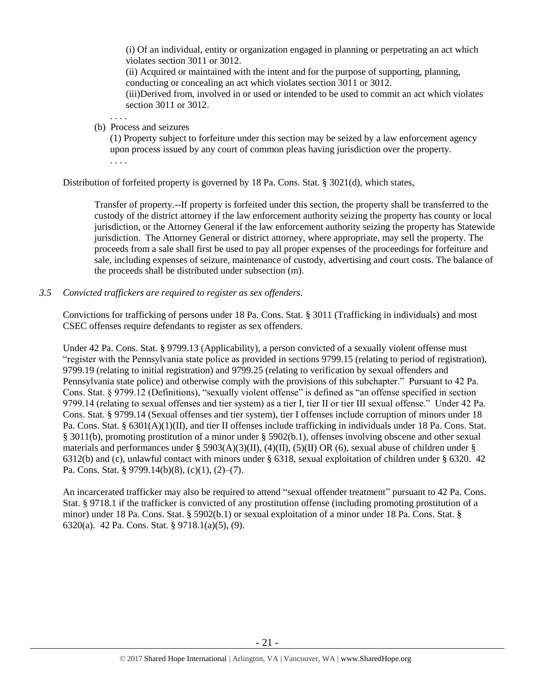(i) Of an individual, entity or organization engaged in planning or perpetrating an act which violates section 3011 or 3012.

(ii) Acquired or maintained with the intent and for the purpose of supporting, planning, conducting or concealing an act which violates section 3011 or 3012.

(iii)Derived from, involved in or used or intended to be used to commit an act which violates section 3011 or 3012.

. . . . (b) Process and seizures

> (1) Property subject to forfeiture under this section may be seized by a law enforcement agency upon process issued by any court of common pleas having jurisdiction over the property. . . . .

Distribution of forfeited property is governed by 18 Pa. Cons. Stat. § 3021(d), which states,

Transfer of property.--If property is forfeited under this section, the property shall be transferred to the custody of the district attorney if the law enforcement authority seizing the property has county or local jurisdiction, or the Attorney General if the law enforcement authority seizing the property has Statewide jurisdiction. The Attorney General or district attorney, where appropriate, may sell the property. The proceeds from a sale shall first be used to pay all proper expenses of the proceedings for forfeiture and sale, including expenses of seizure, maintenance of custody, advertising and court costs. The balance of the proceeds shall be distributed under subsection (m).

## *3.5 Convicted traffickers are required to register as sex offenders.*

Convictions for trafficking of persons under 18 Pa. Cons. Stat. § 3011 (Trafficking in individuals) and most CSEC offenses require defendants to register as sex offenders.

Under 42 Pa. Cons. Stat. § 9799.13 (Applicability), a person convicted of a sexually violent offense must "register with the Pennsylvania state police as provided in sections 9799.15 (relating to period of registration), 9799.19 (relating to initial registration) and 9799.25 (relating to verification by sexual offenders and Pennsylvania state police) and otherwise comply with the provisions of this subchapter." Pursuant to 42 Pa. Cons. Stat. § 9799.12 (Definitions), "sexually violent offense" is defined as "an offense specified in section 9799.14 (relating to sexual offenses and tier system) as a tier I, tier II or tier III sexual offense." Under 42 Pa. Cons. Stat. § 9799.14 (Sexual offenses and tier system), tier I offenses include corruption of minors under 18 Pa. Cons. Stat. § 6301(A)(1)(II), and tier II offenses include trafficking in individuals under 18 Pa. Cons. Stat. § 3011(b), promoting prostitution of a minor under § 5902(b.1), offenses involving obscene and other sexual materials and performances under § 5903(A)(3)(II), (4)(II), (5)(II) OR (6), sexual abuse of children under § 6312(b) and (c), unlawful contact with minors under § 6318, sexual exploitation of children under § 6320. 42 Pa. Cons. Stat. § 9799.14(b)(8), (c)(1), (2)–(7).

An incarcerated trafficker may also be required to attend "sexual offender treatment" pursuant to 42 Pa. Cons. Stat. § 9718.1 if the trafficker is convicted of any prostitution offense (including promoting prostitution of a minor) under 18 Pa. Cons. Stat. § 5902(b.1) or sexual exploitation of a minor under 18 Pa. Cons. Stat. § 6320(a). 42 Pa. Cons. Stat. § 9718.1(a)(5), (9).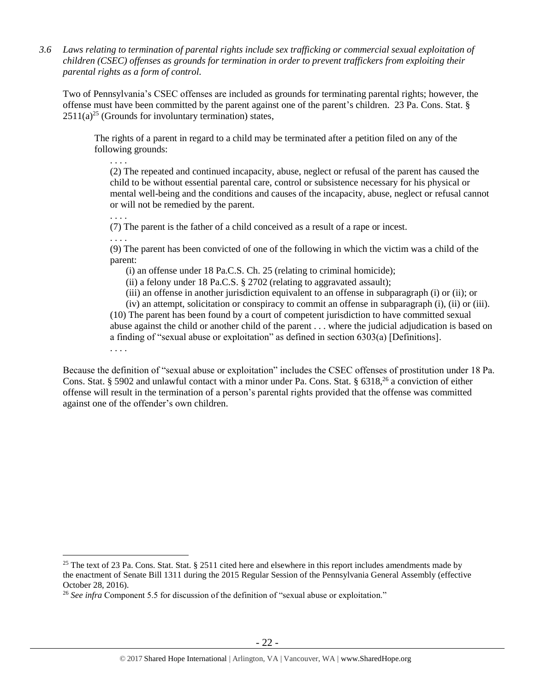*3.6 Laws relating to termination of parental rights include sex trafficking or commercial sexual exploitation of children (CSEC) offenses as grounds for termination in order to prevent traffickers from exploiting their parental rights as a form of control.* 

Two of Pennsylvania's CSEC offenses are included as grounds for terminating parental rights; however, the offense must have been committed by the parent against one of the parent's children. 23 Pa. Cons. Stat. §  $2511(a)^{25}$  (Grounds for involuntary termination) states,

The rights of a parent in regard to a child may be terminated after a petition filed on any of the following grounds:

. . . . (2) The repeated and continued incapacity, abuse, neglect or refusal of the parent has caused the child to be without essential parental care, control or subsistence necessary for his physical or mental well-being and the conditions and causes of the incapacity, abuse, neglect or refusal cannot or will not be remedied by the parent.

. . . .

(7) The parent is the father of a child conceived as a result of a rape or incest.

. . . .

 $\overline{a}$ 

(9) The parent has been convicted of one of the following in which the victim was a child of the parent:

(i) an offense under 18 Pa.C.S. Ch. 25 (relating to criminal homicide);

(ii) a felony under 18 Pa.C.S. § 2702 (relating to aggravated assault);

(iii) an offense in another jurisdiction equivalent to an offense in subparagraph (i) or (ii); or

(iv) an attempt, solicitation or conspiracy to commit an offense in subparagraph (i), (ii) or (iii). (10) The parent has been found by a court of competent jurisdiction to have committed sexual abuse against the child or another child of the parent . . . where the judicial adjudication is based on a finding of "sexual abuse or exploitation" as defined in section 6303(a) [Definitions]. . . . .

Because the definition of "sexual abuse or exploitation" includes the CSEC offenses of prostitution under 18 Pa. Cons. Stat. § 5902 and unlawful contact with a minor under Pa. Cons. Stat. § 6318,  $^{26}$  a conviction of either offense will result in the termination of a person's parental rights provided that the offense was committed against one of the offender's own children.

<sup>&</sup>lt;sup>25</sup> The text of 23 Pa. Cons. Stat. Stat. § 2511 cited here and elsewhere in this report includes amendments made by the enactment of Senate Bill 1311 during the 2015 Regular Session of the Pennsylvania General Assembly (effective October 28, 2016).

<sup>&</sup>lt;sup>26</sup> See infra Component 5.5 for discussion of the definition of "sexual abuse or exploitation."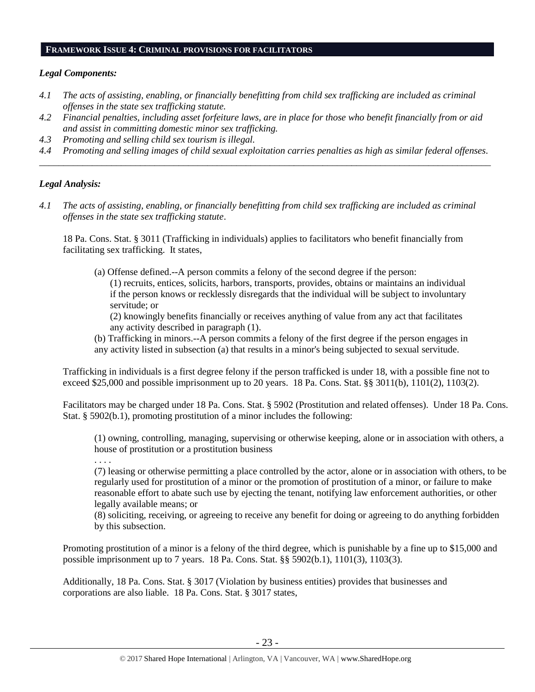#### **FRAMEWORK ISSUE 4: CRIMINAL PROVISIONS FOR FACILITATORS**

#### *Legal Components:*

- *4.1 The acts of assisting, enabling, or financially benefitting from child sex trafficking are included as criminal offenses in the state sex trafficking statute.*
- *4.2 Financial penalties, including asset forfeiture laws, are in place for those who benefit financially from or aid and assist in committing domestic minor sex trafficking.*
- *4.3 Promoting and selling child sex tourism is illegal.*
- *4.4 Promoting and selling images of child sexual exploitation carries penalties as high as similar federal offenses. \_\_\_\_\_\_\_\_\_\_\_\_\_\_\_\_\_\_\_\_\_\_\_\_\_\_\_\_\_\_\_\_\_\_\_\_\_\_\_\_\_\_\_\_\_\_\_\_\_\_\_\_\_\_\_\_\_\_\_\_\_\_\_\_\_\_\_\_\_\_\_\_\_\_\_\_\_\_\_\_\_\_\_\_\_\_\_\_\_\_\_\_\_\_*

#### *Legal Analysis:*

*4.1 The acts of assisting, enabling, or financially benefitting from child sex trafficking are included as criminal offenses in the state sex trafficking statute*.

18 Pa. Cons. Stat. § 3011 (Trafficking in individuals) applies to facilitators who benefit financially from facilitating sex trafficking. It states,

(a) Offense defined.--A person commits a felony of the second degree if the person: (1) recruits, entices, solicits, harbors, transports, provides, obtains or maintains an individual if the person knows or recklessly disregards that the individual will be subject to involuntary servitude; or

(2) knowingly benefits financially or receives anything of value from any act that facilitates any activity described in paragraph (1).

(b) Trafficking in minors.--A person commits a felony of the first degree if the person engages in any activity listed in subsection (a) that results in a minor's being subjected to sexual servitude.

Trafficking in individuals is a first degree felony if the person trafficked is under 18, with a possible fine not to exceed \$25,000 and possible imprisonment up to 20 years. 18 Pa. Cons. Stat. §§ 3011(b), 1101(2), 1103(2).

Facilitators may be charged under 18 Pa. Cons. Stat. § 5902 (Prostitution and related offenses). Under 18 Pa. Cons. Stat. § 5902(b.1), promoting prostitution of a minor includes the following:

(1) owning, controlling, managing, supervising or otherwise keeping, alone or in association with others, a house of prostitution or a prostitution business

. . . .

(7) leasing or otherwise permitting a place controlled by the actor, alone or in association with others, to be regularly used for prostitution of a minor or the promotion of prostitution of a minor, or failure to make reasonable effort to abate such use by ejecting the tenant, notifying law enforcement authorities, or other legally available means; or

(8) soliciting, receiving, or agreeing to receive any benefit for doing or agreeing to do anything forbidden by this subsection.

Promoting prostitution of a minor is a felony of the third degree, which is punishable by a fine up to \$15,000 and possible imprisonment up to 7 years. 18 Pa. Cons. Stat. §§ 5902(b.1), 1101(3), 1103(3).

Additionally, 18 Pa. Cons. Stat. § 3017 (Violation by business entities) provides that businesses and corporations are also liable. 18 Pa. Cons. Stat. § 3017 states,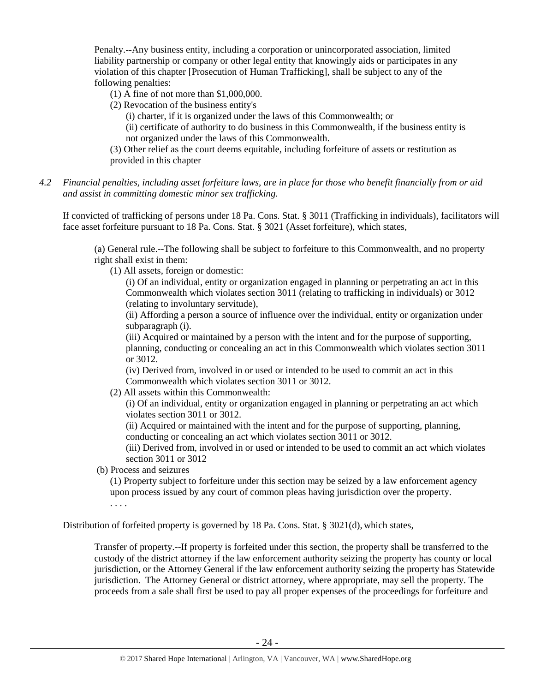Penalty.--Any business entity, including a corporation or unincorporated association, limited liability partnership or company or other legal entity that knowingly aids or participates in any violation of this chapter [Prosecution of Human Trafficking], shall be subject to any of the following penalties:

(1) A fine of not more than \$1,000,000.

(2) Revocation of the business entity's

(i) charter, if it is organized under the laws of this Commonwealth; or

(ii) certificate of authority to do business in this Commonwealth, if the business entity is not organized under the laws of this Commonwealth.

(3) Other relief as the court deems equitable, including forfeiture of assets or restitution as provided in this chapter

*4.2 Financial penalties, including asset forfeiture laws, are in place for those who benefit financially from or aid and assist in committing domestic minor sex trafficking.*

If convicted of trafficking of persons under 18 Pa. Cons. Stat. § 3011 (Trafficking in individuals), facilitators will face asset forfeiture pursuant to 18 Pa. Cons. Stat. § 3021 (Asset forfeiture), which states,

(a) General rule.--The following shall be subject to forfeiture to this Commonwealth, and no property right shall exist in them:

(1) All assets, foreign or domestic:

(i) Of an individual, entity or organization engaged in planning or perpetrating an act in this Commonwealth which violates section 3011 (relating to trafficking in individuals) or 3012 (relating to involuntary servitude),

(ii) Affording a person a source of influence over the individual, entity or organization under subparagraph (i).

(iii) Acquired or maintained by a person with the intent and for the purpose of supporting, planning, conducting or concealing an act in this Commonwealth which violates section 3011 or 3012.

(iv) Derived from, involved in or used or intended to be used to commit an act in this Commonwealth which violates section 3011 or 3012.

(2) All assets within this Commonwealth:

(i) Of an individual, entity or organization engaged in planning or perpetrating an act which violates section 3011 or 3012.

(ii) Acquired or maintained with the intent and for the purpose of supporting, planning, conducting or concealing an act which violates section 3011 or 3012.

(iii) Derived from, involved in or used or intended to be used to commit an act which violates section 3011 or 3012

(b) Process and seizures

(1) Property subject to forfeiture under this section may be seized by a law enforcement agency upon process issued by any court of common pleas having jurisdiction over the property. . . . .

Distribution of forfeited property is governed by 18 Pa. Cons. Stat. § 3021(d), which states,

Transfer of property.--If property is forfeited under this section, the property shall be transferred to the custody of the district attorney if the law enforcement authority seizing the property has county or local jurisdiction, or the Attorney General if the law enforcement authority seizing the property has Statewide jurisdiction. The Attorney General or district attorney, where appropriate, may sell the property. The proceeds from a sale shall first be used to pay all proper expenses of the proceedings for forfeiture and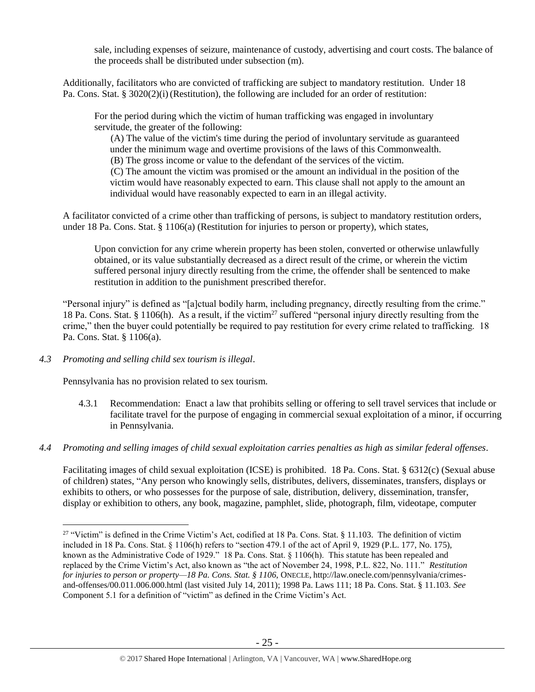sale, including expenses of seizure, maintenance of custody, advertising and court costs. The balance of the proceeds shall be distributed under subsection (m).

Additionally, facilitators who are convicted of trafficking are subject to mandatory restitution. Under 18 Pa. Cons. Stat.  $\S 3020(2)(i)$  (Restitution), the following are included for an order of restitution:

For the period during which the victim of human trafficking was engaged in involuntary servitude, the greater of the following:

(A) The value of the victim's time during the period of involuntary servitude as guaranteed under the minimum wage and overtime provisions of the laws of this Commonwealth. (B) The gross income or value to the defendant of the services of the victim.

(C) The amount the victim was promised or the amount an individual in the position of the victim would have reasonably expected to earn. This clause shall not apply to the amount an individual would have reasonably expected to earn in an illegal activity.

A facilitator convicted of a crime other than trafficking of persons, is subject to mandatory restitution orders, under 18 Pa. Cons. Stat. § 1106(a) (Restitution for injuries to person or property), which states,

Upon conviction for any crime wherein property has been stolen, converted or otherwise unlawfully obtained, or its value substantially decreased as a direct result of the crime, or wherein the victim suffered personal injury directly resulting from the crime, the offender shall be sentenced to make restitution in addition to the punishment prescribed therefor.

"Personal injury" is defined as "[a]ctual bodily harm, including pregnancy, directly resulting from the crime." 18 Pa. Cons. Stat. § 1106(h). As a result, if the victim<sup>27</sup> suffered "personal injury directly resulting from the crime," then the buyer could potentially be required to pay restitution for every crime related to trafficking. 18 Pa. Cons. Stat. § 1106(a).

*4.3 Promoting and selling child sex tourism is illegal*.

 $\overline{a}$ 

Pennsylvania has no provision related to sex tourism.

- 4.3.1 Recommendation: Enact a law that prohibits selling or offering to sell travel services that include or facilitate travel for the purpose of engaging in commercial sexual exploitation of a minor, if occurring in Pennsylvania.
- *4.4 Promoting and selling images of child sexual exploitation carries penalties as high as similar federal offenses*.

Facilitating images of child sexual exploitation (ICSE) is prohibited. 18 Pa. Cons. Stat. § 6312(c) (Sexual abuse of children) states, "Any person who knowingly sells, distributes, delivers, disseminates, transfers, displays or exhibits to others, or who possesses for the purpose of sale, distribution, delivery, dissemination, transfer, display or exhibition to others, any book, magazine, pamphlet, slide, photograph, film, videotape, computer

<sup>&</sup>lt;sup>27</sup> "Victim" is defined in the Crime Victim's Act, codified at 18 Pa. Cons. Stat. § 11.103. The definition of victim included in 18 Pa. Cons. Stat. § 1106(h) refers to "section 479.1 of the act of April 9, 1929 (P.L. 177, No. 175), known as the Administrative Code of 1929." 18 Pa. Cons. Stat. § 1106(h). This statute has been repealed and replaced by the Crime Victim's Act, also known as "the act of November 24, 1998, P.L. 822, No. 111." *Restitution for injuries to person or property—18 Pa. Cons. Stat. § 1106*, ONECLE, http://law.onecle.com/pennsylvania/crimesand-offenses/00.011.006.000.html (last visited July 14, 2011); 1998 Pa. Laws 111; 18 Pa. Cons. Stat. § 11.103. *See* Component 5.1 for a definition of "victim" as defined in the Crime Victim's Act.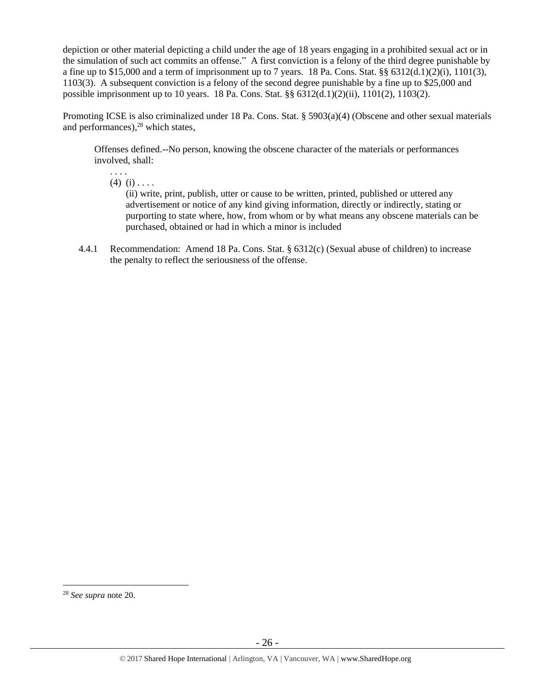depiction or other material depicting a child under the age of 18 years engaging in a prohibited sexual act or in the simulation of such act commits an offense." A first conviction is a felony of the third degree punishable by a fine up to \$15,000 and a term of imprisonment up to 7 years. 18 Pa. Cons. Stat. §§  $6312(d.1)(2)(i)$ ,  $1101(3)$ , 1103(3). A subsequent conviction is a felony of the second degree punishable by a fine up to \$25,000 and possible imprisonment up to 10 years. 18 Pa. Cons. Stat. §§ 6312(d.1)(2)(ii), 1101(2), 1103(2).

Promoting ICSE is also criminalized under 18 Pa. Cons. Stat. § 5903(a)(4) (Obscene and other sexual materials and performances), <sup>28</sup> which states,

Offenses defined.--No person, knowing the obscene character of the materials or performances involved, shall:

. . . .  $(4)$   $(i)$  . . . .

> (ii) write, print, publish, utter or cause to be written, printed, published or uttered any advertisement or notice of any kind giving information, directly or indirectly, stating or purporting to state where, how, from whom or by what means any obscene materials can be purchased, obtained or had in which a minor is included

4.4.1 Recommendation: Amend 18 Pa. Cons. Stat. § 6312(c) (Sexual abuse of children) to increase the penalty to reflect the seriousness of the offense.

 $\overline{a}$ 

<sup>28</sup> *See supra* note [20.](#page-17-0)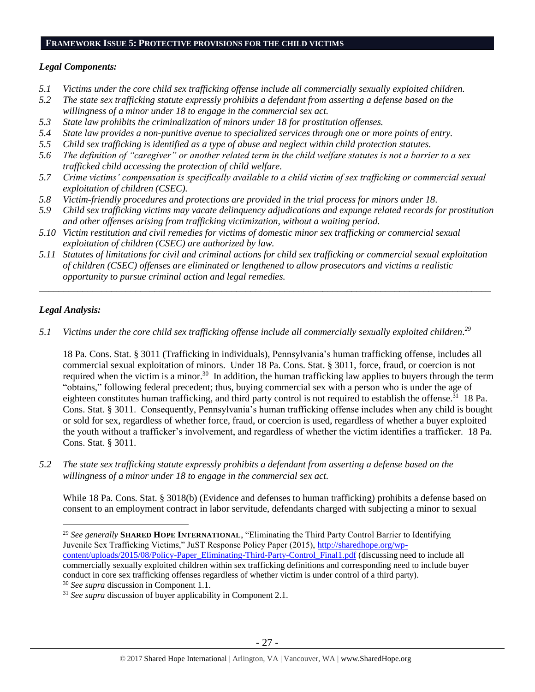#### **FRAMEWORK ISSUE 5: PROTECTIVE PROVISIONS FOR THE CHILD VICTIMS**

## *Legal Components:*

- *5.1 Victims under the core child sex trafficking offense include all commercially sexually exploited children.*
- *5.2 The state sex trafficking statute expressly prohibits a defendant from asserting a defense based on the willingness of a minor under 18 to engage in the commercial sex act.*
- *5.3 State law prohibits the criminalization of minors under 18 for prostitution offenses.*
- *5.4 State law provides a non-punitive avenue to specialized services through one or more points of entry.*
- *5.5 Child sex trafficking is identified as a type of abuse and neglect within child protection statutes.*
- *5.6 The definition of "caregiver" or another related term in the child welfare statutes is not a barrier to a sex trafficked child accessing the protection of child welfare.*
- *5.7 Crime victims' compensation is specifically available to a child victim of sex trafficking or commercial sexual exploitation of children (CSEC).*
- *5.8 Victim-friendly procedures and protections are provided in the trial process for minors under 18.*
- *5.9 Child sex trafficking victims may vacate delinquency adjudications and expunge related records for prostitution and other offenses arising from trafficking victimization, without a waiting period.*
- *5.10 Victim restitution and civil remedies for victims of domestic minor sex trafficking or commercial sexual exploitation of children (CSEC) are authorized by law.*
- *5.11 Statutes of limitations for civil and criminal actions for child sex trafficking or commercial sexual exploitation of children (CSEC) offenses are eliminated or lengthened to allow prosecutors and victims a realistic opportunity to pursue criminal action and legal remedies.*

*\_\_\_\_\_\_\_\_\_\_\_\_\_\_\_\_\_\_\_\_\_\_\_\_\_\_\_\_\_\_\_\_\_\_\_\_\_\_\_\_\_\_\_\_\_\_\_\_\_\_\_\_\_\_\_\_\_\_\_\_\_\_\_\_\_\_\_\_\_\_\_\_\_\_\_\_\_\_\_\_\_\_\_\_\_\_\_\_\_\_\_\_\_\_*

# *Legal Analysis:*

 $\overline{a}$ 

*5.1 Victims under the core child sex trafficking offense include all commercially sexually exploited children. 29*

18 Pa. Cons. Stat. § 3011 (Trafficking in individuals), Pennsylvania's human trafficking offense, includes all commercial sexual exploitation of minors. Under 18 Pa. Cons. Stat. § 3011, force, fraud, or coercion is not required when the victim is a minor.<sup>30</sup> In addition, the human trafficking law applies to buyers through the term "obtains," following federal precedent; thus, buying commercial sex with a person who is under the age of eighteen constitutes human trafficking, and third party control is not required to establish the offense.<sup>31</sup> 18 Pa. Cons. Stat. § 3011. Consequently, Pennsylvania's human trafficking offense includes when any child is bought or sold for sex, regardless of whether force, fraud, or coercion is used, regardless of whether a buyer exploited the youth without a trafficker's involvement, and regardless of whether the victim identifies a trafficker. 18 Pa. Cons. Stat. § 3011.

*5.2 The state sex trafficking statute expressly prohibits a defendant from asserting a defense based on the willingness of a minor under 18 to engage in the commercial sex act.*

While 18 Pa. Cons. Stat. § 3018(b) (Evidence and defenses to human trafficking) prohibits a defense based on consent to an employment contract in labor servitude, defendants charged with subjecting a minor to sexual

<sup>&</sup>lt;sup>29</sup> See generally **SHARED HOPE INTERNATIONAL**, "Eliminating the Third Party Control Barrier to Identifying Juvenile Sex Trafficking Victims," JuST Response Policy Paper (2015), [http://sharedhope.org/wp](http://sharedhope.org/wp-content/uploads/2015/08/Policy-Paper_Eliminating-Third-Party-Control_Final1.pdf)[content/uploads/2015/08/Policy-Paper\\_Eliminating-Third-Party-Control\\_Final1.pdf](http://sharedhope.org/wp-content/uploads/2015/08/Policy-Paper_Eliminating-Third-Party-Control_Final1.pdf) (discussing need to include all commercially sexually exploited children within sex trafficking definitions and corresponding need to include buyer conduct in core sex trafficking offenses regardless of whether victim is under control of a third party). <sup>30</sup> *See supra* discussion in Component 1.1.

<sup>&</sup>lt;sup>31</sup> *See supra* discussion of buyer applicability in Component 2.1.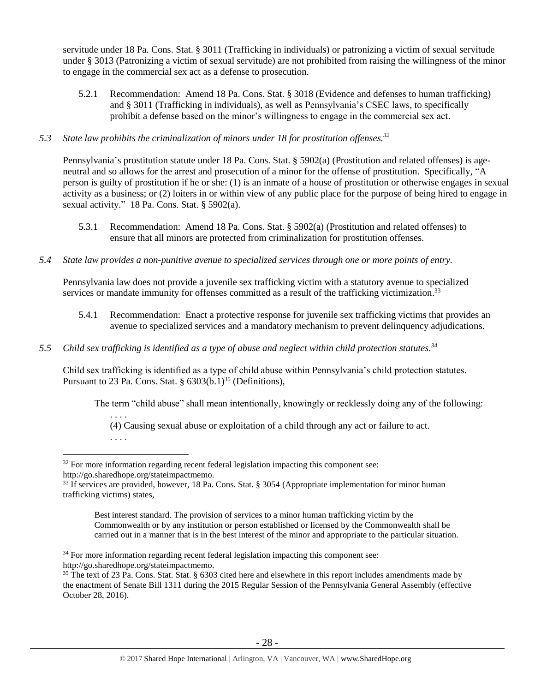servitude under 18 Pa. Cons. Stat. § 3011 (Trafficking in individuals) or patronizing a victim of sexual servitude under § 3013 (Patronizing a victim of sexual servitude) are not prohibited from raising the willingness of the minor to engage in the commercial sex act as a defense to prosecution.

5.2.1 Recommendation: Amend 18 Pa. Cons. Stat. § 3018 (Evidence and defenses to human trafficking) and § 3011 (Trafficking in individuals), as well as Pennsylvania's CSEC laws, to specifically prohibit a defense based on the minor's willingness to engage in the commercial sex act.

# *5.3 State law prohibits the criminalization of minors under 18 for prostitution offenses.<sup>32</sup>*

Pennsylvania's prostitution statute under 18 Pa. Cons. Stat. § 5902(a) (Prostitution and related offenses) is ageneutral and so allows for the arrest and prosecution of a minor for the offense of prostitution. Specifically, "A person is guilty of prostitution if he or she: (1) is an inmate of a house of prostitution or otherwise engages in sexual activity as a business; or (2) loiters in or within view of any public place for the purpose of being hired to engage in sexual activity." 18 Pa. Cons. Stat. § 5902(a).

- 5.3.1 Recommendation: Amend 18 Pa. Cons. Stat. § 5902(a) (Prostitution and related offenses) to ensure that all minors are protected from criminalization for prostitution offenses.
- *5.4 State law provides a non-punitive avenue to specialized services through one or more points of entry.*

Pennsylvania law does not provide a juvenile sex trafficking victim with a statutory avenue to specialized services or mandate immunity for offenses committed as a result of the trafficking victimization.<sup>33</sup>

- 5.4.1 Recommendation: Enact a protective response for juvenile sex trafficking victims that provides an avenue to specialized services and a mandatory mechanism to prevent delinquency adjudications.
- *5.5 Child sex trafficking is identified as a type of abuse and neglect within child protection statutes. 34*

Child sex trafficking is identified as a type of child abuse within Pennsylvania's child protection statutes. Pursuant to 23 Pa. Cons. Stat.  $\S 6303(b.1)^{35}$  (Definitions),

The term "child abuse" shall mean intentionally, knowingly or recklessly doing any of the following:

(4) Causing sexual abuse or exploitation of a child through any act or failure to act.

<span id="page-27-0"></span>. . . .

. . . .

 $\overline{a}$  $32$  For more information regarding recent federal legislation impacting this component see: http://go.sharedhope.org/stateimpactmemo.

<sup>33</sup> If services are provided, however, 18 Pa. Cons. Stat. § 3054 (Appropriate implementation for minor human trafficking victims) states,

Best interest standard. The provision of services to a minor human trafficking victim by the Commonwealth or by any institution or person established or licensed by the Commonwealth shall be carried out in a manner that is in the best interest of the minor and appropriate to the particular situation.

<sup>&</sup>lt;sup>34</sup> For more information regarding recent federal legislation impacting this component see: http://go.sharedhope.org/stateimpactmemo.

<sup>35</sup> The text of 23 Pa. Cons. Stat. Stat. § 6303 cited here and elsewhere in this report includes amendments made by the enactment of Senate Bill 1311 during the 2015 Regular Session of the Pennsylvania General Assembly (effective October 28, 2016).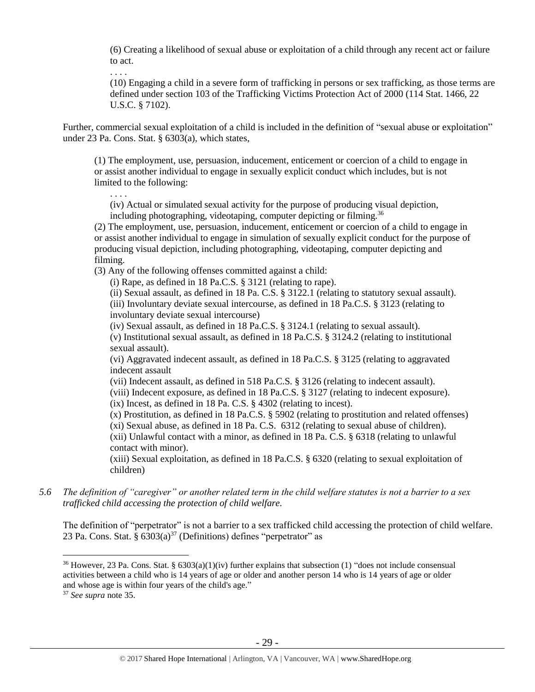(6) Creating a likelihood of sexual abuse or exploitation of a child through any recent act or failure to act.

. . . .

. . . .

(10) Engaging a child in a severe form of trafficking in persons or sex trafficking, as those terms are defined under section 103 of the Trafficking Victims Protection Act of 2000 (114 Stat. 1466, 22 U.S.C. § 7102).

Further, commercial sexual exploitation of a child is included in the definition of "sexual abuse or exploitation" under 23 Pa. Cons. Stat. § 6303(a), which states,

(1) The employment, use, persuasion, inducement, enticement or coercion of a child to engage in or assist another individual to engage in sexually explicit conduct which includes, but is not limited to the following:

(iv) Actual or simulated sexual activity for the purpose of producing visual depiction, including photographing, videotaping, computer depicting or filming.<sup>36</sup>

(2) The employment, use, persuasion, inducement, enticement or coercion of a child to engage in or assist another individual to engage in simulation of sexually explicit conduct for the purpose of producing visual depiction, including photographing, videotaping, computer depicting and filming.

(3) Any of the following offenses committed against a child:

(i) Rape, as defined in 18 Pa.C.S. § 3121 (relating to rape).

(ii) Sexual assault, as defined in 18 Pa. C.S. § 3122.1 (relating to statutory sexual assault). (iii) Involuntary deviate sexual intercourse, as defined in 18 Pa.C.S. § 3123 (relating to involuntary deviate sexual intercourse)

(iv) Sexual assault, as defined in 18 Pa.C.S. § 3124.1 (relating to sexual assault).

(v) Institutional sexual assault, as defined in 18 Pa.C.S. § 3124.2 (relating to institutional sexual assault).

(vi) Aggravated indecent assault, as defined in 18 Pa.C.S. § 3125 (relating to aggravated indecent assault

(vii) Indecent assault, as defined in 518 Pa.C.S. § 3126 (relating to indecent assault).

(viii) Indecent exposure, as defined in 18 Pa.C.S. § 3127 (relating to indecent exposure).

(ix) Incest, as defined in 18 Pa. C.S. § 4302 (relating to incest).

(x) Prostitution, as defined in 18 Pa.C.S. § 5902 (relating to prostitution and related offenses)

(xi) Sexual abuse, as defined in 18 Pa. C.S. 6312 (relating to sexual abuse of children).

(xii) Unlawful contact with a minor, as defined in 18 Pa. C.S. § 6318 (relating to unlawful contact with minor).

(xiii) Sexual exploitation, as defined in 18 Pa.C.S. § 6320 (relating to sexual exploitation of children)

*5.6 The definition of "caregiver" or another related term in the child welfare statutes is not a barrier to a sex trafficked child accessing the protection of child welfare.*

The definition of "perpetrator" is not a barrier to a sex trafficked child accessing the protection of child welfare. 23 Pa. Cons. Stat. §  $6303(a)^{37}$  (Definitions) defines "perpetrator" as

 $\overline{a}$ 

<sup>36</sup> However, 23 Pa. Cons. Stat. § 6303(a)(1)(iv) further explains that subsection (1) "does not include consensual activities between a child who is 14 years of age or older and another person 14 who is 14 years of age or older and whose age is within four years of the child's age."

<sup>37</sup> *See supra* note [35.](#page-27-0)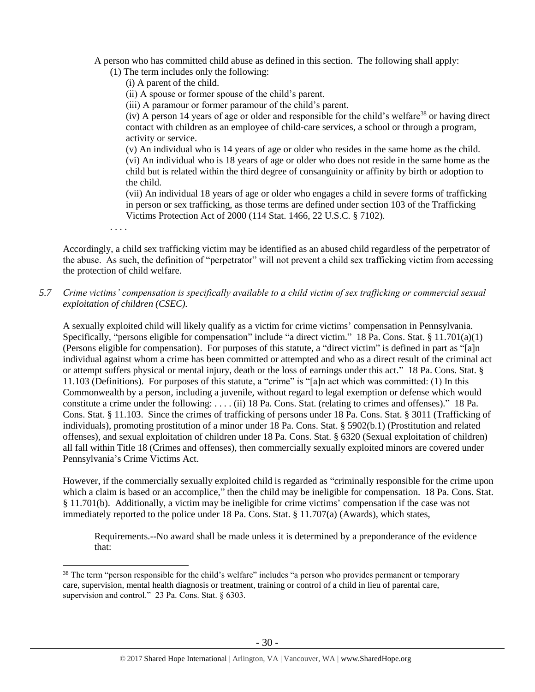A person who has committed child abuse as defined in this section. The following shall apply:

(1) The term includes only the following:

(i) A parent of the child.

(ii) A spouse or former spouse of the child's parent.

(iii) A paramour or former paramour of the child's parent.

(iv) A person 14 years of age or older and responsible for the child's welfare<sup>38</sup> or having direct contact with children as an employee of child-care services, a school or through a program, activity or service.

(v) An individual who is 14 years of age or older who resides in the same home as the child. (vi) An individual who is 18 years of age or older who does not reside in the same home as the child but is related within the third degree of consanguinity or affinity by birth or adoption to the child.

(vii) An individual 18 years of age or older who engages a child in severe forms of trafficking in person or sex trafficking, as those terms are defined under section 103 of the Trafficking Victims Protection Act of 2000 (114 Stat. 1466, 22 U.S.C. § 7102).

. . . .

 $\overline{a}$ 

Accordingly, a child sex trafficking victim may be identified as an abused child regardless of the perpetrator of the abuse. As such, the definition of "perpetrator" will not prevent a child sex trafficking victim from accessing the protection of child welfare.

# *5.7 Crime victims' compensation is specifically available to a child victim of sex trafficking or commercial sexual exploitation of children (CSEC).*

A sexually exploited child will likely qualify as a victim for crime victims' compensation in Pennsylvania. Specifically, "persons eligible for compensation" include "a direct victim." 18 Pa. Cons. Stat. § 11.701(a)(1) (Persons eligible for compensation). For purposes of this statute, a "direct victim" is defined in part as "[a]n individual against whom a crime has been committed or attempted and who as a direct result of the criminal act or attempt suffers physical or mental injury, death or the loss of earnings under this act." 18 Pa. Cons. Stat. § 11.103 (Definitions). For purposes of this statute, a "crime" is "[a]n act which was committed: (1) In this Commonwealth by a person, including a juvenile, without regard to legal exemption or defense which would constitute a crime under the following: . . . . (ii) 18 Pa. Cons. Stat. (relating to crimes and offenses)." 18 Pa. Cons. Stat. § 11.103. Since the crimes of trafficking of persons under 18 Pa. Cons. Stat. § 3011 (Trafficking of individuals), promoting prostitution of a minor under 18 Pa. Cons. Stat. § 5902(b.1) (Prostitution and related offenses), and sexual exploitation of children under 18 Pa. Cons. Stat. § 6320 (Sexual exploitation of children) all fall within Title 18 (Crimes and offenses), then commercially sexually exploited minors are covered under Pennsylvania's Crime Victims Act.

However, if the commercially sexually exploited child is regarded as "criminally responsible for the crime upon which a claim is based or an accomplice," then the child may be ineligible for compensation. 18 Pa. Cons. Stat. § 11.701(b). Additionally, a victim may be ineligible for crime victims' compensation if the case was not immediately reported to the police under 18 Pa. Cons. Stat. § 11.707(a) (Awards), which states,

Requirements.--No award shall be made unless it is determined by a preponderance of the evidence that:

<sup>&</sup>lt;sup>38</sup> The term "person responsible for the child's welfare" includes "a person who provides permanent or temporary care, supervision, mental health diagnosis or treatment, training or control of a child in lieu of parental care, supervision and control." 23 Pa. Cons. Stat. § 6303.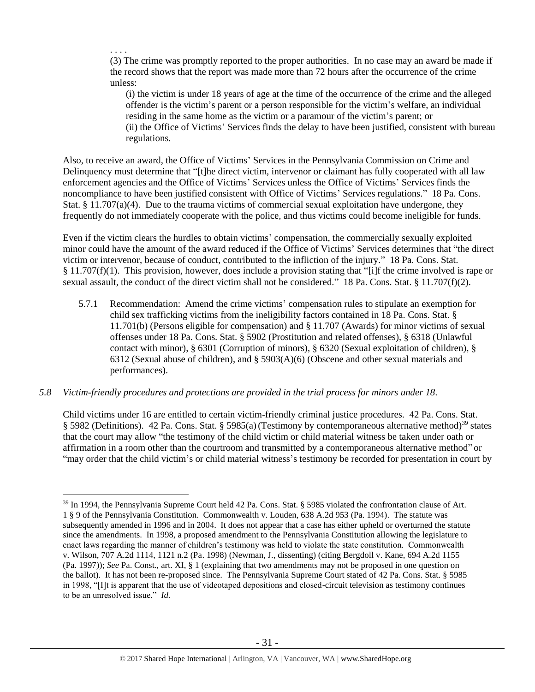(3) The crime was promptly reported to the proper authorities. In no case may an award be made if the record shows that the report was made more than 72 hours after the occurrence of the crime unless:

(i) the victim is under 18 years of age at the time of the occurrence of the crime and the alleged offender is the victim's parent or a person responsible for the victim's welfare, an individual residing in the same home as the victim or a paramour of the victim's parent; or (ii) the Office of Victims' Services finds the delay to have been justified, consistent with bureau regulations.

Also, to receive an award, the Office of Victims' Services in the Pennsylvania Commission on Crime and Delinquency must determine that "[t]he direct victim, intervenor or claimant has fully cooperated with all law enforcement agencies and the Office of Victims' Services unless the Office of Victims' Services finds the noncompliance to have been justified consistent with Office of Victims' Services regulations." 18 Pa. Cons. Stat. § 11.707(a)(4). Due to the trauma victims of commercial sexual exploitation have undergone, they frequently do not immediately cooperate with the police, and thus victims could become ineligible for funds.

. . . .

 $\overline{a}$ 

Even if the victim clears the hurdles to obtain victims' compensation, the commercially sexually exploited minor could have the amount of the award reduced if the Office of Victims' Services determines that "the direct victim or intervenor, because of conduct, contributed to the infliction of the injury." 18 Pa. Cons. Stat. § 11.707(f)(1). This provision, however, does include a provision stating that "[i]f the crime involved is rape or sexual assault, the conduct of the direct victim shall not be considered." 18 Pa. Cons. Stat. § 11.707(f)(2).

- 5.7.1 Recommendation: Amend the crime victims' compensation rules to stipulate an exemption for child sex trafficking victims from the ineligibility factors contained in 18 Pa. Cons. Stat. § 11.701(b) (Persons eligible for compensation) and § 11.707 (Awards) for minor victims of sexual offenses under 18 Pa. Cons. Stat. § 5902 (Prostitution and related offenses), § 6318 (Unlawful contact with minor), § 6301 (Corruption of minors), § 6320 (Sexual exploitation of children), § 6312 (Sexual abuse of children), and § 5903(A)(6) (Obscene and other sexual materials and performances).
- *5.8 Victim-friendly procedures and protections are provided in the trial process for minors under 18.*

Child victims under 16 are entitled to certain victim-friendly criminal justice procedures. 42 Pa. Cons. Stat. § 5982 (Definitions). 42 Pa. Cons. Stat. § 5985(a)(Testimony by contemporaneous alternative method)<sup>39</sup> states that the court may allow "the testimony of the child victim or child material witness be taken under oath or affirmation in a room other than the courtroom and transmitted by a contemporaneous alternative method" or "may order that the child victim's or child material witness's testimony be recorded for presentation in court by

<sup>&</sup>lt;sup>39</sup> In 1994, the Pennsylvania Supreme Court held 42 Pa. Cons. Stat. § 5985 violated the confrontation clause of Art. 1 § 9 of the Pennsylvania Constitution. Commonwealth v. Louden, 638 A.2d 953 (Pa. 1994). The statute was subsequently amended in 1996 and in 2004. It does not appear that a case has either upheld or overturned the statute since the amendments. In 1998, a proposed amendment to the Pennsylvania Constitution allowing the legislature to enact laws regarding the manner of children's testimony was held to violate the state constitution. Commonwealth v. Wilson, 707 A.2d 1114, 1121 n.2 (Pa. 1998) (Newman, J., dissenting) (citing Bergdoll v. Kane, 694 A.2d 1155 (Pa. 1997)); *See* Pa. Const., art. XI, § 1 (explaining that two amendments may not be proposed in one question on the ballot). It has not been re-proposed since. The Pennsylvania Supreme Court stated of 42 Pa. Cons. Stat. § 5985 in 1998, "[I]t is apparent that the use of videotaped depositions and closed-circuit television as testimony continues to be an unresolved issue." *Id.*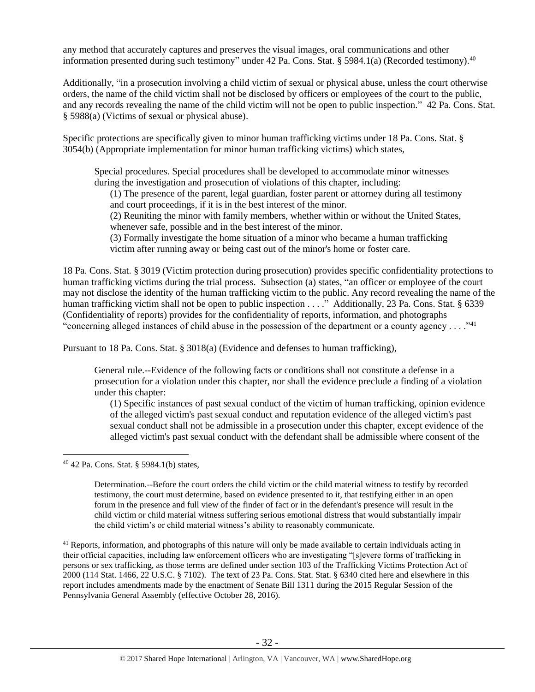any method that accurately captures and preserves the visual images, oral communications and other information presented during such testimony" under 42 Pa. Cons. Stat. § 5984.1(a) (Recorded testimony).<sup>40</sup>

Additionally, "in a prosecution involving a child victim of sexual or physical abuse, unless the court otherwise orders, the name of the child victim shall not be disclosed by officers or employees of the court to the public, and any records revealing the name of the child victim will not be open to public inspection." 42 Pa. Cons. Stat. § 5988(a) (Victims of sexual or physical abuse).

Specific protections are specifically given to minor human trafficking victims under 18 Pa. Cons. Stat. § 3054(b) (Appropriate implementation for minor human trafficking victims) which states,

Special procedures. Special procedures shall be developed to accommodate minor witnesses during the investigation and prosecution of violations of this chapter, including:

(1) The presence of the parent, legal guardian, foster parent or attorney during all testimony and court proceedings, if it is in the best interest of the minor.

(2) Reuniting the minor with family members, whether within or without the United States, whenever safe, possible and in the best interest of the minor.

(3) Formally investigate the home situation of a minor who became a human trafficking victim after running away or being cast out of the minor's home or foster care.

18 Pa. Cons. Stat. § 3019 (Victim protection during prosecution) provides specific confidentiality protections to human trafficking victims during the trial process. Subsection (a) states, "an officer or employee of the court may not disclose the identity of the human trafficking victim to the public. Any record revealing the name of the human trafficking victim shall not be open to public inspection . . . ." Additionally, 23 Pa. Cons. Stat. § 6339 (Confidentiality of reports) provides for the confidentiality of reports, information, and photographs "concerning alleged instances of child abuse in the possession of the department or a county agency . . . ."<sup>41</sup>

Pursuant to 18 Pa. Cons. Stat. § 3018(a) (Evidence and defenses to human trafficking),

General rule.--Evidence of the following facts or conditions shall not constitute a defense in a prosecution for a violation under this chapter, nor shall the evidence preclude a finding of a violation under this chapter:

(1) Specific instances of past sexual conduct of the victim of human trafficking, opinion evidence of the alleged victim's past sexual conduct and reputation evidence of the alleged victim's past sexual conduct shall not be admissible in a prosecution under this chapter, except evidence of the alleged victim's past sexual conduct with the defendant shall be admissible where consent of the

<sup>40</sup> 42 Pa. Cons. Stat. § 5984.1(b) states,

 $\overline{a}$ 

Determination.--Before the court orders the child victim or the child material witness to testify by recorded testimony, the court must determine, based on evidence presented to it, that testifying either in an open forum in the presence and full view of the finder of fact or in the defendant's presence will result in the child victim or child material witness suffering serious emotional distress that would substantially impair the child victim's or child material witness's ability to reasonably communicate.

<sup>41</sup> Reports, information, and photographs of this nature will only be made available to certain individuals acting in their official capacities, including law enforcement officers who are investigating "[s]evere forms of trafficking in persons or sex trafficking, as those terms are defined under section 103 of the Trafficking Victims Protection Act of 2000 (114 Stat. 1466, 22 U.S.C. § 7102). The text of 23 Pa. Cons. Stat. Stat. § 6340 cited here and elsewhere in this report includes amendments made by the enactment of Senate Bill 1311 during the 2015 Regular Session of the Pennsylvania General Assembly (effective October 28, 2016).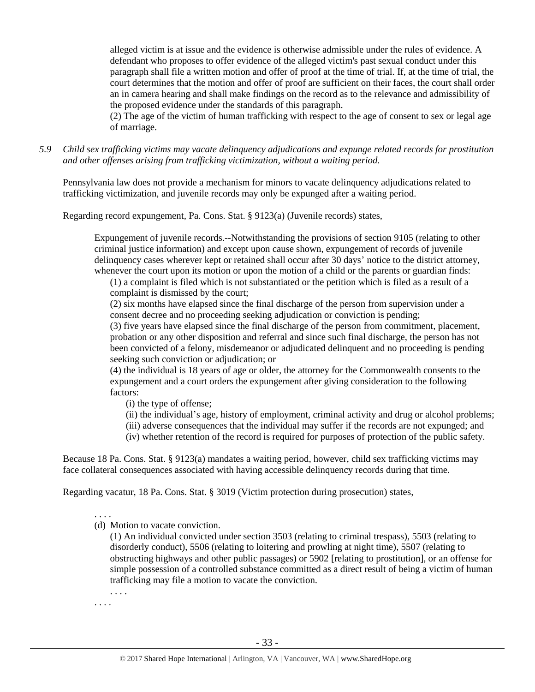alleged victim is at issue and the evidence is otherwise admissible under the rules of evidence. A defendant who proposes to offer evidence of the alleged victim's past sexual conduct under this paragraph shall file a written motion and offer of proof at the time of trial. If, at the time of trial, the court determines that the motion and offer of proof are sufficient on their faces, the court shall order an in camera hearing and shall make findings on the record as to the relevance and admissibility of the proposed evidence under the standards of this paragraph.

(2) The age of the victim of human trafficking with respect to the age of consent to sex or legal age of marriage.

*5.9 Child sex trafficking victims may vacate delinquency adjudications and expunge related records for prostitution and other offenses arising from trafficking victimization, without a waiting period.*

Pennsylvania law does not provide a mechanism for minors to vacate delinquency adjudications related to trafficking victimization, and juvenile records may only be expunged after a waiting period.

Regarding record expungement, Pa. Cons. Stat. § 9123(a) (Juvenile records) states,

Expungement of juvenile records.--Notwithstanding the provisions of section 9105 (relating to other criminal justice information) and except upon cause shown, expungement of records of juvenile delinquency cases wherever kept or retained shall occur after 30 days' notice to the district attorney, whenever the court upon its motion or upon the motion of a child or the parents or guardian finds:

(1) a complaint is filed which is not substantiated or the petition which is filed as a result of a complaint is dismissed by the court;

(2) six months have elapsed since the final discharge of the person from supervision under a consent decree and no proceeding seeking adjudication or conviction is pending;

(3) five years have elapsed since the final discharge of the person from commitment, placement, probation or any other disposition and referral and since such final discharge, the person has not been convicted of a felony, misdemeanor or adjudicated delinquent and no proceeding is pending seeking such conviction or adjudication; or

(4) the individual is 18 years of age or older, the attorney for the Commonwealth consents to the expungement and a court orders the expungement after giving consideration to the following factors:

(i) the type of offense;

- (ii) the individual's age, history of employment, criminal activity and drug or alcohol problems;
- (iii) adverse consequences that the individual may suffer if the records are not expunged; and
- (iv) whether retention of the record is required for purposes of protection of the public safety.

Because 18 Pa. Cons. Stat. § 9123(a) mandates a waiting period, however, child sex trafficking victims may face collateral consequences associated with having accessible delinquency records during that time.

Regarding vacatur, 18 Pa. Cons. Stat. § 3019 (Victim protection during prosecution) states,

. . . .

(d) Motion to vacate conviction.

(1) An individual convicted under section 3503 (relating to criminal trespass), 5503 (relating to disorderly conduct), 5506 (relating to loitering and prowling at night time), 5507 (relating to obstructing highways and other public passages) or 5902 [relating to prostitution], or an offense for simple possession of a controlled substance committed as a direct result of being a victim of human trafficking may file a motion to vacate the conviction.

. . . .

. . . .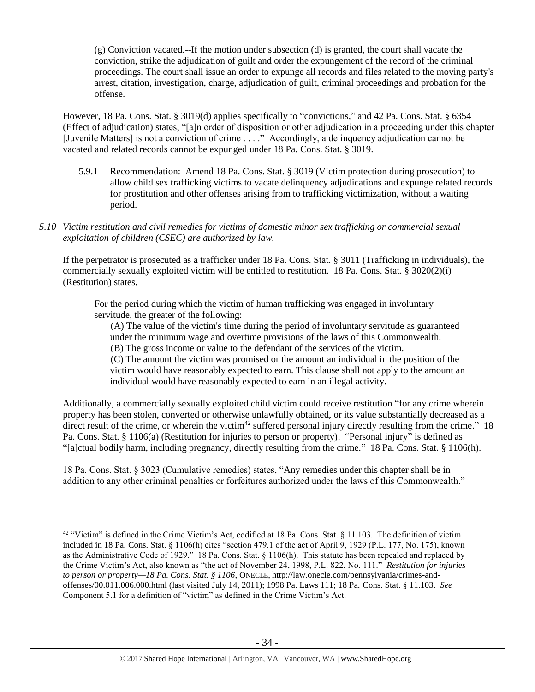(g) Conviction vacated.--If the motion under subsection (d) is granted, the court shall vacate the conviction, strike the adjudication of guilt and order the expungement of the record of the criminal proceedings. The court shall issue an order to expunge all records and files related to the moving party's arrest, citation, investigation, charge, adjudication of guilt, criminal proceedings and probation for the offense.

However, 18 Pa. Cons. Stat. § 3019(d) applies specifically to "convictions," and 42 Pa. Cons. Stat. § 6354 (Effect of adjudication) states, "[a]n order of disposition or other adjudication in a proceeding under this chapter [Juvenile Matters] is not a conviction of crime . . . ." Accordingly, a delinquency adjudication cannot be vacated and related records cannot be expunged under 18 Pa. Cons. Stat. § 3019.

- 5.9.1 Recommendation: Amend 18 Pa. Cons. Stat. § 3019 (Victim protection during prosecution) to allow child sex trafficking victims to vacate delinquency adjudications and expunge related records for prostitution and other offenses arising from to trafficking victimization, without a waiting period.
- *5.10 Victim restitution and civil remedies for victims of domestic minor sex trafficking or commercial sexual exploitation of children (CSEC) are authorized by law.*

If the perpetrator is prosecuted as a trafficker under 18 Pa. Cons. Stat. § 3011 (Trafficking in individuals), the commercially sexually exploited victim will be entitled to restitution. 18 Pa. Cons. Stat. § 3020(2)(i) (Restitution) states,

For the period during which the victim of human trafficking was engaged in involuntary servitude, the greater of the following:

(A) The value of the victim's time during the period of involuntary servitude as guaranteed under the minimum wage and overtime provisions of the laws of this Commonwealth.

(B) The gross income or value to the defendant of the services of the victim.

(C) The amount the victim was promised or the amount an individual in the position of the victim would have reasonably expected to earn. This clause shall not apply to the amount an individual would have reasonably expected to earn in an illegal activity.

Additionally, a commercially sexually exploited child victim could receive restitution "for any crime wherein property has been stolen, converted or otherwise unlawfully obtained, or its value substantially decreased as a direct result of the crime, or wherein the victim<sup>42</sup> suffered personal injury directly resulting from the crime." 18 Pa. Cons. Stat. § 1106(a) (Restitution for injuries to person or property). "Personal injury" is defined as "[a]ctual bodily harm, including pregnancy, directly resulting from the crime." 18 Pa. Cons. Stat. § 1106(h).

18 Pa. Cons. Stat. § 3023 (Cumulative remedies) states, "Any remedies under this chapter shall be in addition to any other criminal penalties or forfeitures authorized under the laws of this Commonwealth."

 $\overline{a}$ 

 $42$  "Victim" is defined in the Crime Victim's Act, codified at 18 Pa. Cons. Stat.  $8\ 11.103$ . The definition of victim included in 18 Pa. Cons. Stat. § 1106(h) cites "section 479.1 of the act of April 9, 1929 (P.L. 177, No. 175), known as the Administrative Code of 1929." 18 Pa. Cons. Stat. § 1106(h). This statute has been repealed and replaced by the Crime Victim's Act, also known as "the act of November 24, 1998, P.L. 822, No. 111." *Restitution for injuries to person or property—18 Pa. Cons. Stat. § 1106*, ONECLE, http://law.onecle.com/pennsylvania/crimes-andoffenses/00.011.006.000.html (last visited July 14, 2011); 1998 Pa. Laws 111; 18 Pa. Cons. Stat. § 11.103. *See* Component 5.1 for a definition of "victim" as defined in the Crime Victim's Act.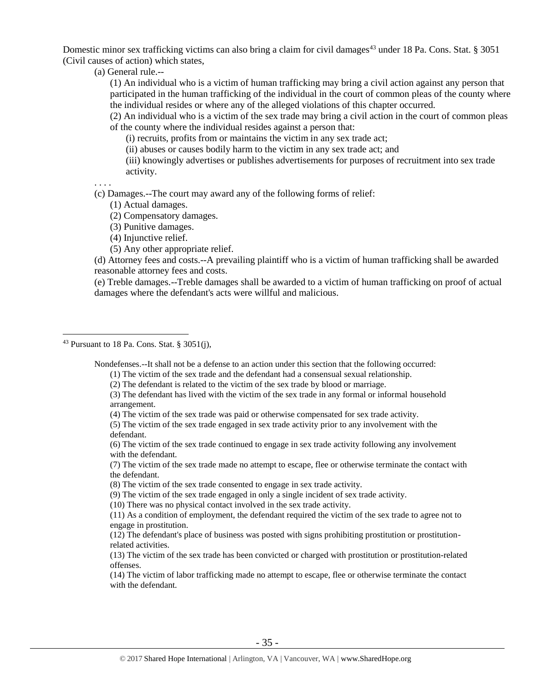Domestic minor sex trafficking victims can also bring a claim for civil damages<sup>43</sup> under 18 Pa. Cons. Stat. § 3051 (Civil causes of action) which states,

(a) General rule.--

(1) An individual who is a victim of human trafficking may bring a civil action against any person that participated in the human trafficking of the individual in the court of common pleas of the county where the individual resides or where any of the alleged violations of this chapter occurred.

(2) An individual who is a victim of the sex trade may bring a civil action in the court of common pleas of the county where the individual resides against a person that:

(i) recruits, profits from or maintains the victim in any sex trade act;

(ii) abuses or causes bodily harm to the victim in any sex trade act; and

(iii) knowingly advertises or publishes advertisements for purposes of recruitment into sex trade activity.

. . . .

 $\overline{a}$ 

(c) Damages.--The court may award any of the following forms of relief:

(1) Actual damages.

(2) Compensatory damages.

(3) Punitive damages.

(4) Injunctive relief.

(5) Any other appropriate relief.

(d) Attorney fees and costs.--A prevailing plaintiff who is a victim of human trafficking shall be awarded reasonable attorney fees and costs.

(e) Treble damages.--Treble damages shall be awarded to a victim of human trafficking on proof of actual damages where the defendant's acts were willful and malicious.

Nondefenses.--It shall not be a defense to an action under this section that the following occurred:

(4) The victim of the sex trade was paid or otherwise compensated for sex trade activity.

(6) The victim of the sex trade continued to engage in sex trade activity following any involvement with the defendant.

(7) The victim of the sex trade made no attempt to escape, flee or otherwise terminate the contact with the defendant.

(8) The victim of the sex trade consented to engage in sex trade activity.

(9) The victim of the sex trade engaged in only a single incident of sex trade activity.

(10) There was no physical contact involved in the sex trade activity.

(11) As a condition of employment, the defendant required the victim of the sex trade to agree not to engage in prostitution.

(12) The defendant's place of business was posted with signs prohibiting prostitution or prostitutionrelated activities.

(13) The victim of the sex trade has been convicted or charged with prostitution or prostitution-related offenses.

(14) The victim of labor trafficking made no attempt to escape, flee or otherwise terminate the contact with the defendant.

<sup>&</sup>lt;sup>43</sup> Pursuant to 18 Pa. Cons. Stat. § 3051(j),

<sup>(1)</sup> The victim of the sex trade and the defendant had a consensual sexual relationship.

<sup>(2)</sup> The defendant is related to the victim of the sex trade by blood or marriage.

<sup>(3)</sup> The defendant has lived with the victim of the sex trade in any formal or informal household arrangement.

<sup>(5)</sup> The victim of the sex trade engaged in sex trade activity prior to any involvement with the defendant.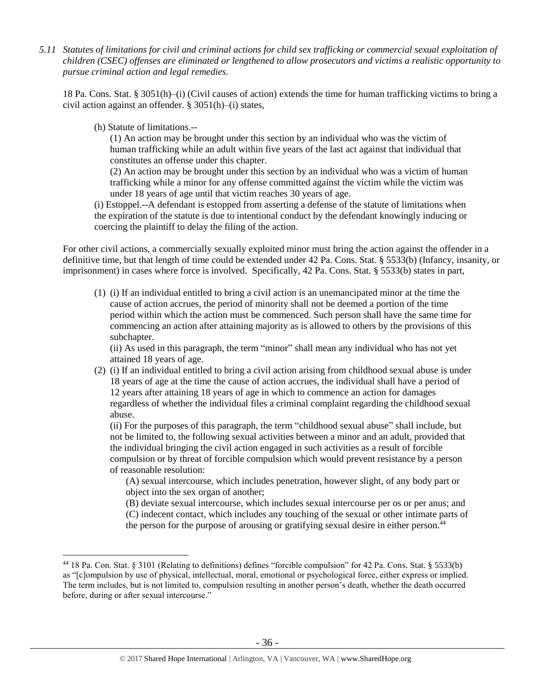*5.11 Statutes of limitations for civil and criminal actions for child sex trafficking or commercial sexual exploitation of children (CSEC) offenses are eliminated or lengthened to allow prosecutors and victims a realistic opportunity to pursue criminal action and legal remedies.*

18 Pa. Cons. Stat. § 3051(h)–(i) (Civil causes of action) extends the time for human trafficking victims to bring a civil action against an offender. § 3051(h)–(i) states,

(h) Statute of limitations.--

 $\overline{a}$ 

(1) An action may be brought under this section by an individual who was the victim of human trafficking while an adult within five years of the last act against that individual that constitutes an offense under this chapter.

(2) An action may be brought under this section by an individual who was a victim of human trafficking while a minor for any offense committed against the victim while the victim was under 18 years of age until that victim reaches 30 years of age.

(i) Estoppel.--A defendant is estopped from asserting a defense of the statute of limitations when the expiration of the statute is due to intentional conduct by the defendant knowingly inducing or coercing the plaintiff to delay the filing of the action.

For other civil actions, a commercially sexually exploited minor must bring the action against the offender in a definitive time, but that length of time could be extended under 42 Pa. Cons. Stat. § 5533(b) (Infancy, insanity, or imprisonment) in cases where force is involved. Specifically, 42 Pa. Cons. Stat. § 5533(b) states in part,

(1) (i) If an individual entitled to bring a civil action is an unemancipated minor at the time the cause of action accrues, the period of minority shall not be deemed a portion of the time period within which the action must be commenced. Such person shall have the same time for commencing an action after attaining majority as is allowed to others by the provisions of this subchapter.

(ii) As used in this paragraph, the term "minor" shall mean any individual who has not yet attained 18 years of age.

(2) (i) If an individual entitled to bring a civil action arising from childhood sexual abuse is under 18 years of age at the time the cause of action accrues, the individual shall have a period of 12 years after attaining 18 years of age in which to commence an action for damages regardless of whether the individual files a criminal complaint regarding the childhood sexual abuse.

(ii) For the purposes of this paragraph, the term "childhood sexual abuse" shall include, but not be limited to, the following sexual activities between a minor and an adult, provided that the individual bringing the civil action engaged in such activities as a result of forcible compulsion or by threat of forcible compulsion which would prevent resistance by a person of reasonable resolution:

(A) sexual intercourse, which includes penetration, however slight, of any body part or object into the sex organ of another;

(B) deviate sexual intercourse, which includes sexual intercourse per os or per anus; and

(C) indecent contact, which includes any touching of the sexual or other intimate parts of the person for the purpose of arousing or gratifying sexual desire in either person. $44$ 

<sup>44</sup> 18 Pa. Con. Stat. § 3101 (Relating to definitions) defines "forcible compulsion" for 42 Pa. Cons. Stat. § 5533(b) as "[c]ompulsion by use of physical, intellectual, moral, emotional or psychological force, either express or implied. The term includes, but is not limited to, compulsion resulting in another person's death, whether the death occurred before, during or after sexual intercourse."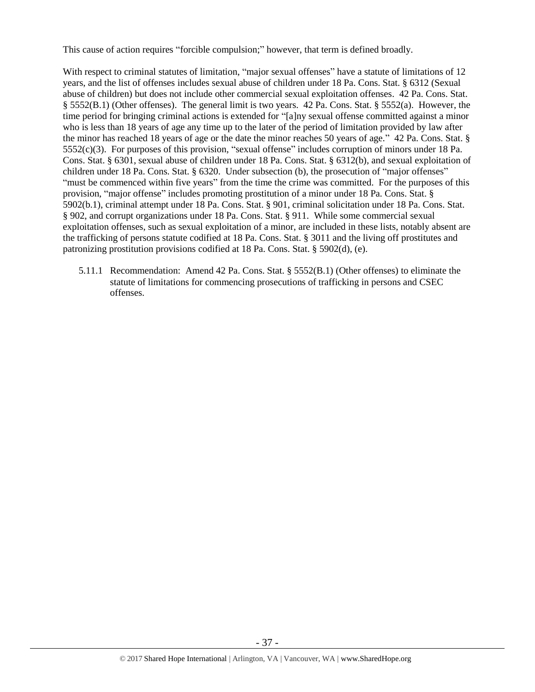This cause of action requires "forcible compulsion;" however, that term is defined broadly.

With respect to criminal statutes of limitation, "major sexual offenses" have a statute of limitations of 12 years, and the list of offenses includes sexual abuse of children under 18 Pa. Cons. Stat. § 6312 (Sexual abuse of children) but does not include other commercial sexual exploitation offenses. 42 Pa. Cons. Stat. § 5552(B.1) (Other offenses). The general limit is two years. 42 Pa. Cons. Stat. § 5552(a). However, the time period for bringing criminal actions is extended for "[a]ny sexual offense committed against a minor who is less than 18 years of age any time up to the later of the period of limitation provided by law after the minor has reached 18 years of age or the date the minor reaches 50 years of age." 42 Pa. Cons. Stat. § 5552(c)(3). For purposes of this provision, "sexual offense" includes corruption of minors under 18 Pa. Cons. Stat. § 6301, sexual abuse of children under 18 Pa. Cons. Stat. § 6312(b), and sexual exploitation of children under 18 Pa. Cons. Stat. § 6320. Under subsection (b), the prosecution of "major offenses" "must be commenced within five years" from the time the crime was committed. For the purposes of this provision, "major offense" includes promoting prostitution of a minor under 18 Pa. Cons. Stat. § 5902(b.1), criminal attempt under 18 Pa. Cons. Stat. § 901, criminal solicitation under 18 Pa. Cons. Stat. § 902, and corrupt organizations under 18 Pa. Cons. Stat. § 911. While some commercial sexual exploitation offenses, such as sexual exploitation of a minor, are included in these lists, notably absent are the trafficking of persons statute codified at 18 Pa. Cons. Stat. § 3011 and the living off prostitutes and patronizing prostitution provisions codified at 18 Pa. Cons. Stat. § 5902(d), (e).

5.11.1 Recommendation: Amend 42 Pa. Cons. Stat. § 5552(B.1) (Other offenses) to eliminate the statute of limitations for commencing prosecutions of trafficking in persons and CSEC offenses.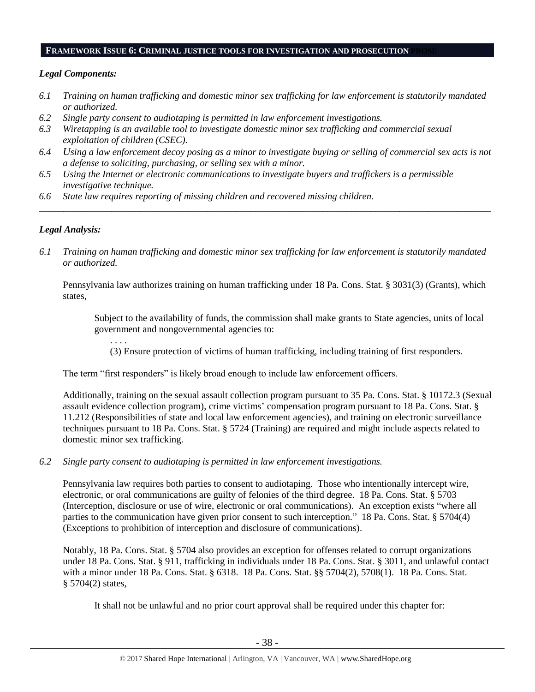#### **FRAMEWORK ISSUE 6: CRIMINAL JUSTICE TOOLS FOR INVESTIGATION AND PROSECUTION PROSE**

## *Legal Components:*

- *6.1 Training on human trafficking and domestic minor sex trafficking for law enforcement is statutorily mandated or authorized.*
- *6.2 Single party consent to audiotaping is permitted in law enforcement investigations.*
- *6.3 Wiretapping is an available tool to investigate domestic minor sex trafficking and commercial sexual exploitation of children (CSEC).*
- *6.4 Using a law enforcement decoy posing as a minor to investigate buying or selling of commercial sex acts is not a defense to soliciting, purchasing, or selling sex with a minor.*

*\_\_\_\_\_\_\_\_\_\_\_\_\_\_\_\_\_\_\_\_\_\_\_\_\_\_\_\_\_\_\_\_\_\_\_\_\_\_\_\_\_\_\_\_\_\_\_\_\_\_\_\_\_\_\_\_\_\_\_\_\_\_\_\_\_\_\_\_\_\_\_\_\_\_\_\_\_\_\_\_\_\_\_\_\_\_\_\_\_\_\_\_\_\_*

- *6.5 Using the Internet or electronic communications to investigate buyers and traffickers is a permissible investigative technique.*
- *6.6 State law requires reporting of missing children and recovered missing children.*

## *Legal Analysis:*

. . . .

*6.1 Training on human trafficking and domestic minor sex trafficking for law enforcement is statutorily mandated or authorized.*

Pennsylvania law authorizes training on human trafficking under 18 Pa. Cons. Stat. § 3031(3) (Grants), which states,

Subject to the availability of funds, the commission shall make grants to State agencies, units of local government and nongovernmental agencies to:

(3) Ensure protection of victims of human trafficking, including training of first responders.

The term "first responders" is likely broad enough to include law enforcement officers.

Additionally, training on the sexual assault collection program pursuant to 35 Pa. Cons. Stat. § 10172.3 (Sexual assault evidence collection program), crime victims' compensation program pursuant to 18 Pa. Cons. Stat. § 11.212 (Responsibilities of state and local law enforcement agencies), and training on electronic surveillance techniques pursuant to 18 Pa. Cons. Stat. § 5724 (Training) are required and might include aspects related to domestic minor sex trafficking.

*6.2 Single party consent to audiotaping is permitted in law enforcement investigations.*

Pennsylvania law requires both parties to consent to audiotaping. Those who intentionally intercept wire, electronic, or oral communications are guilty of felonies of the third degree. 18 Pa. Cons. Stat. § 5703 (Interception, disclosure or use of wire, electronic or oral communications). An exception exists "where all parties to the communication have given prior consent to such interception." 18 Pa. Cons. Stat. § 5704(4) (Exceptions to prohibition of interception and disclosure of communications).

Notably, 18 Pa. Cons. Stat. § 5704 also provides an exception for offenses related to corrupt organizations under 18 Pa. Cons. Stat. § 911, trafficking in individuals under 18 Pa. Cons. Stat. § 3011, and unlawful contact with a minor under 18 Pa. Cons. Stat. § 6318. 18 Pa. Cons. Stat. §§ 5704(2), 5708(1). 18 Pa. Cons. Stat. § 5704(2) states,

It shall not be unlawful and no prior court approval shall be required under this chapter for: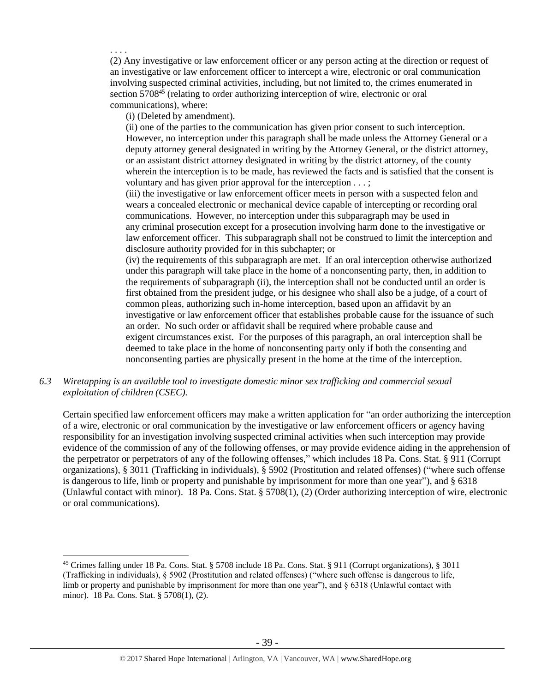(2) Any investigative or law enforcement officer or any person acting at the direction or request of an investigative or law enforcement officer to intercept a wire, electronic or oral communication involving suspected criminal activities, including, but not limited to, the crimes enumerated in section 5708<sup>45</sup> (relating to order authorizing interception of wire, electronic or oral communications), where:

(i) (Deleted by amendment).

. . . .

 $\overline{a}$ 

(ii) one of the parties to the communication has given prior consent to such interception. However, no interception under this paragraph shall be made unless the Attorney General or a deputy attorney general designated in writing by the Attorney General, or the district attorney, or an assistant district attorney designated in writing by the district attorney, of the county wherein the interception is to be made, has reviewed the facts and is satisfied that the consent is voluntary and has given prior approval for the interception . . . ;

(iii) the investigative or law enforcement officer meets in person with a suspected felon and wears a concealed electronic or mechanical device capable of intercepting or recording oral communications. However, no interception under this subparagraph may be used in any criminal prosecution except for a prosecution involving harm done to the investigative or law enforcement officer. This subparagraph shall not be construed to limit the interception and disclosure authority provided for in this subchapter; or

(iv) the requirements of this subparagraph are met. If an oral interception otherwise authorized under this paragraph will take place in the home of a nonconsenting party, then, in addition to the requirements of subparagraph (ii), the interception shall not be conducted until an order is first obtained from the president judge, or his designee who shall also be a judge, of a court of common pleas, authorizing such in-home interception, based upon an affidavit by an investigative or law enforcement officer that establishes probable cause for the issuance of such an order. No such order or affidavit shall be required where probable cause and exigent circumstances exist. For the purposes of this paragraph, an oral interception shall be deemed to take place in the home of nonconsenting party only if both the consenting and nonconsenting parties are physically present in the home at the time of the interception.

# *6.3 Wiretapping is an available tool to investigate domestic minor sex trafficking and commercial sexual exploitation of children (CSEC).*

Certain specified law enforcement officers may make a written application for "an order authorizing the interception of a wire, electronic or oral communication by the investigative or law enforcement officers or agency having responsibility for an investigation involving suspected criminal activities when such interception may provide evidence of the commission of any of the following offenses, or may provide evidence aiding in the apprehension of the perpetrator or perpetrators of any of the following offenses," which includes 18 Pa. Cons. Stat. § 911 (Corrupt organizations), § 3011 (Trafficking in individuals), § 5902 (Prostitution and related offenses) ("where such offense is dangerous to life, limb or property and punishable by imprisonment for more than one year"), and § 6318 (Unlawful contact with minor). 18 Pa. Cons. Stat. § 5708(1), (2) (Order authorizing interception of wire, electronic or oral communications).

<sup>45</sup> Crimes falling under 18 Pa. Cons. Stat. § 5708 include 18 Pa. Cons. Stat. § 911 (Corrupt organizations), § 3011 (Trafficking in individuals), § 5902 (Prostitution and related offenses) ("where such offense is dangerous to life, limb or property and punishable by imprisonment for more than one year"), and § 6318 (Unlawful contact with minor). 18 Pa. Cons. Stat. § 5708(1), (2).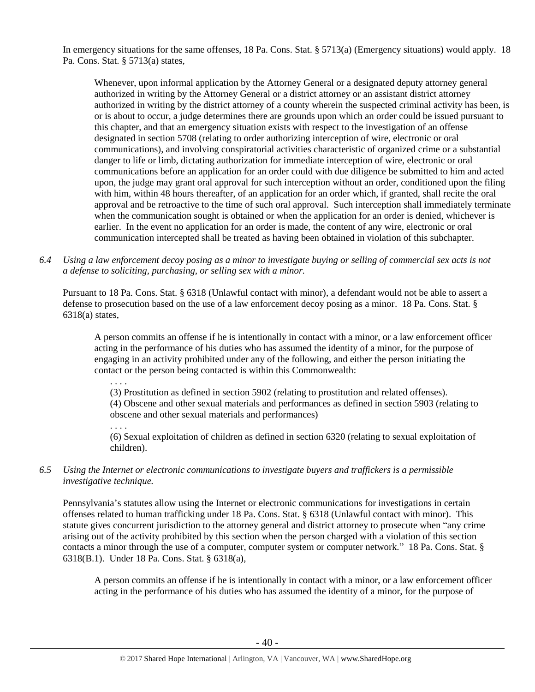In emergency situations for the same offenses, 18 Pa. Cons. Stat. § 5713(a) (Emergency situations) would apply. 18 Pa. Cons. Stat. § 5713(a) states,

Whenever, upon informal application by the Attorney General or a designated deputy attorney general authorized in writing by the Attorney General or a district attorney or an assistant district attorney authorized in writing by the district attorney of a county wherein the suspected criminal activity has been, is or is about to occur, a judge determines there are grounds upon which an order could be issued pursuant to this chapter, and that an emergency situation exists with respect to the investigation of an offense designated in section 5708 (relating to order authorizing interception of wire, electronic or oral communications), and involving conspiratorial activities characteristic of organized crime or a substantial danger to life or limb, dictating authorization for immediate interception of wire, electronic or oral communications before an application for an order could with due diligence be submitted to him and acted upon, the judge may grant oral approval for such interception without an order, conditioned upon the filing with him, within 48 hours thereafter, of an application for an order which, if granted, shall recite the oral approval and be retroactive to the time of such oral approval. Such interception shall immediately terminate when the communication sought is obtained or when the application for an order is denied, whichever is earlier. In the event no application for an order is made, the content of any wire, electronic or oral communication intercepted shall be treated as having been obtained in violation of this subchapter.

*6.4 Using a law enforcement decoy posing as a minor to investigate buying or selling of commercial sex acts is not a defense to soliciting, purchasing, or selling sex with a minor.*

Pursuant to 18 Pa. Cons. Stat. § 6318 (Unlawful contact with minor), a defendant would not be able to assert a defense to prosecution based on the use of a law enforcement decoy posing as a minor. 18 Pa. Cons. Stat. § 6318(a) states,

A person commits an offense if he is intentionally in contact with a minor, or a law enforcement officer acting in the performance of his duties who has assumed the identity of a minor, for the purpose of engaging in an activity prohibited under any of the following, and either the person initiating the contact or the person being contacted is within this Commonwealth:

. . . . (3) Prostitution as defined in section 5902 (relating to prostitution and related offenses). (4) Obscene and other sexual materials and performances as defined in section 5903 (relating to obscene and other sexual materials and performances)

. . . .

(6) Sexual exploitation of children as defined in section 6320 (relating to sexual exploitation of children).

*6.5 Using the Internet or electronic communications to investigate buyers and traffickers is a permissible investigative technique.*

Pennsylvania's statutes allow using the Internet or electronic communications for investigations in certain offenses related to human trafficking under 18 Pa. Cons. Stat. § 6318 (Unlawful contact with minor). This statute gives concurrent jurisdiction to the attorney general and district attorney to prosecute when "any crime arising out of the activity prohibited by this section when the person charged with a violation of this section contacts a minor through the use of a computer, computer system or computer network." 18 Pa. Cons. Stat. § 6318(B.1). Under 18 Pa. Cons. Stat. § 6318(a),

A person commits an offense if he is intentionally in contact with a minor, or a law enforcement officer acting in the performance of his duties who has assumed the identity of a minor, for the purpose of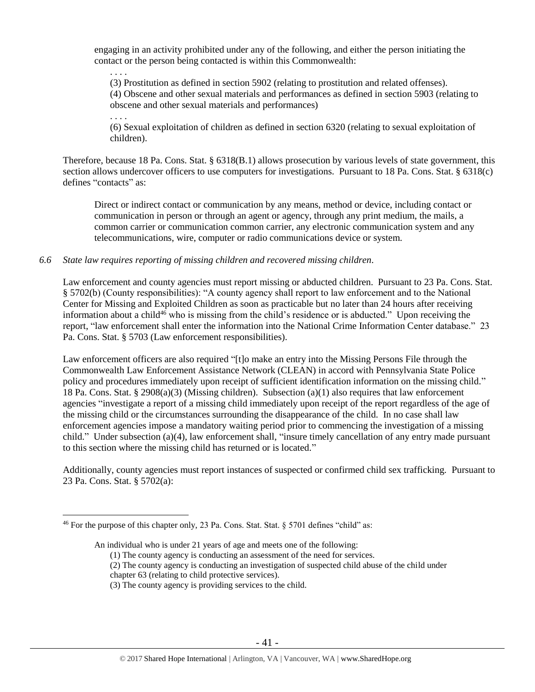engaging in an activity prohibited under any of the following, and either the person initiating the contact or the person being contacted is within this Commonwealth:

(3) Prostitution as defined in section 5902 (relating to prostitution and related offenses). (4) Obscene and other sexual materials and performances as defined in section 5903 (relating to

obscene and other sexual materials and performances)

(6) Sexual exploitation of children as defined in section 6320 (relating to sexual exploitation of children).

Therefore, because 18 Pa. Cons. Stat. § 6318(B.1) allows prosecution by various levels of state government, this section allows undercover officers to use computers for investigations. Pursuant to 18 Pa. Cons. Stat. § 6318(c) defines "contacts" as:

Direct or indirect contact or communication by any means, method or device, including contact or communication in person or through an agent or agency, through any print medium, the mails, a common carrier or communication common carrier, any electronic communication system and any telecommunications, wire, computer or radio communications device or system.

*6.6 State law requires reporting of missing children and recovered missing children.*

. . . .

. . . .

 $\overline{a}$ 

Law enforcement and county agencies must report missing or abducted children. Pursuant to 23 Pa. Cons. Stat. § 5702(b) (County responsibilities): "A county agency shall report to law enforcement and to the National Center for Missing and Exploited Children as soon as practicable but no later than 24 hours after receiving information about a child<sup>46</sup> who is missing from the child's residence or is abducted." Upon receiving the report, "law enforcement shall enter the information into the National Crime Information Center database." 23 Pa. Cons. Stat. § 5703 (Law enforcement responsibilities).

Law enforcement officers are also required "[t]o make an entry into the Missing Persons File through the Commonwealth Law Enforcement Assistance Network (CLEAN) in accord with Pennsylvania State Police policy and procedures immediately upon receipt of sufficient identification information on the missing child." 18 Pa. Cons. Stat. § 2908(a)(3) (Missing children). Subsection (a)(1) also requires that law enforcement agencies "investigate a report of a missing child immediately upon receipt of the report regardless of the age of the missing child or the circumstances surrounding the disappearance of the child. In no case shall law enforcement agencies impose a mandatory waiting period prior to commencing the investigation of a missing child." Under subsection (a)(4), law enforcement shall, "insure timely cancellation of any entry made pursuant to this section where the missing child has returned or is located."

Additionally, county agencies must report instances of suspected or confirmed child sex trafficking. Pursuant to 23 Pa. Cons. Stat. § 5702(a):

<sup>&</sup>lt;sup>46</sup> For the purpose of this chapter only, 23 Pa. Cons. Stat. Stat.  $§$  5701 defines "child" as:

An individual who is under 21 years of age and meets one of the following:

<sup>(1)</sup> The county agency is conducting an assessment of the need for services.

<sup>(2)</sup> The county agency is conducting an investigation of suspected child abuse of the child under

chapter 63 (relating to child protective services).

<sup>(3)</sup> The county agency is providing services to the child.